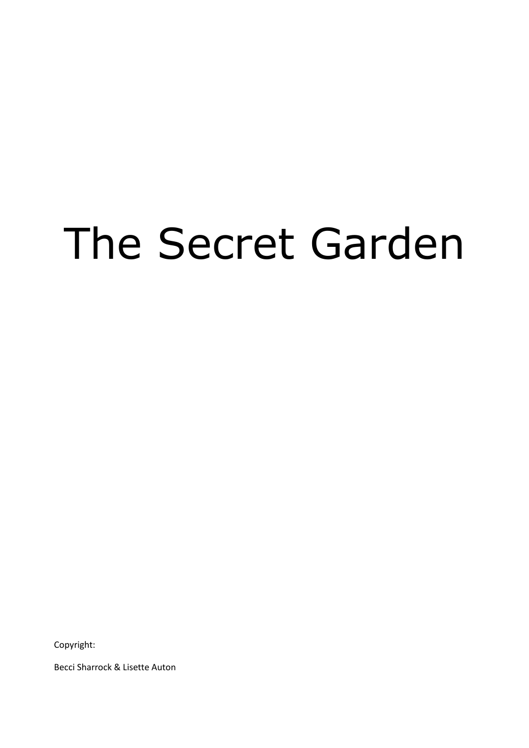# The Secret Garden

Copyright:

Becci Sharrock & Lisette Auton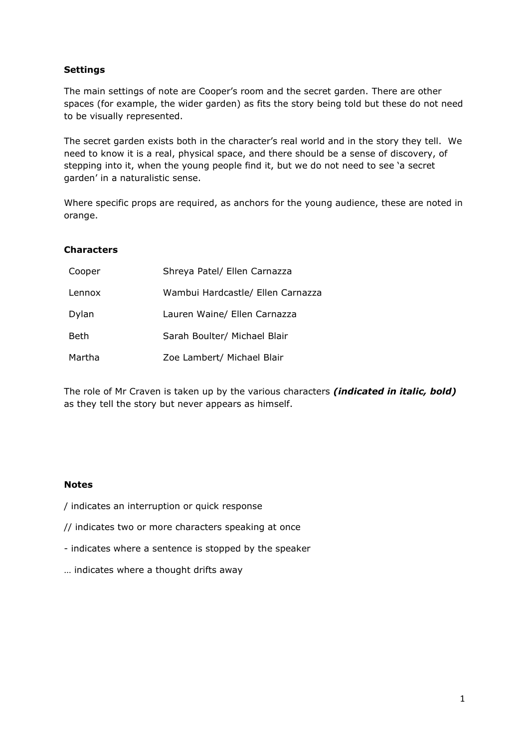#### **Settings**

The main settings of note are Cooper's room and the secret garden. There are other spaces (for example, the wider garden) as fits the story being told but these do not need to be visually represented.

The secret garden exists both in the character's real world and in the story they tell. We need to know it is a real, physical space, and there should be a sense of discovery, of stepping into it, when the young people find it, but we do not need to see 'a secret garden' in a naturalistic sense.

Where specific props are required, as anchors for the young audience, these are noted in orange.

#### **Characters**

| Cooper | Shreya Patel/ Ellen Carnazza      |
|--------|-----------------------------------|
| Lennox | Wambui Hardcastle/ Ellen Carnazza |
| Dylan  | Lauren Waine/ Ellen Carnazza      |
| Beth   | Sarah Boulter/ Michael Blair      |
| Martha | Zoe Lambert/ Michael Blair        |

The role of Mr Craven is taken up by the various characters *(indicated in italic, bold)* as they tell the story but never appears as himself.

#### **Notes**

- / indicates an interruption or quick response
- // indicates two or more characters speaking at once
- indicates where a sentence is stopped by the speaker
- … indicates where a thought drifts away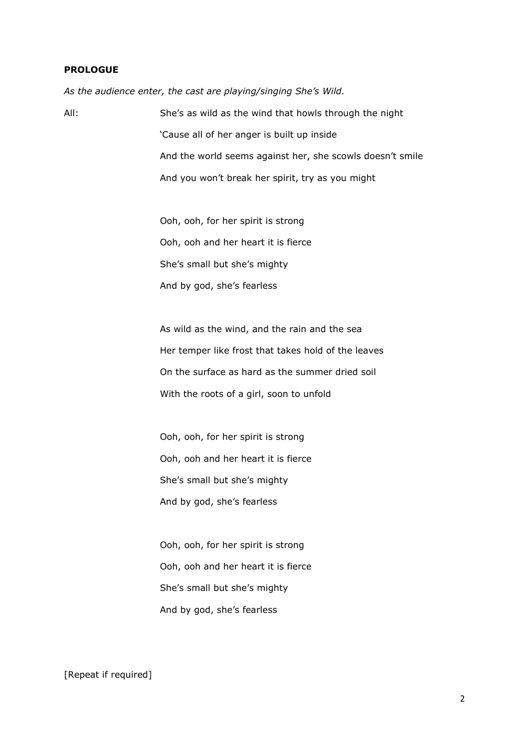#### **PROLOGUE**

*As the audience enter, the cast are playing/singing She's Wild.*

All: She's as wild as the wind that howls through the night 'Cause all of her anger is built up inside And the world seems against her, she scowls doesn't smile And you won't break her spirit, try as you might

> Ooh, ooh, for her spirit is strong Ooh, ooh and her heart it is fierce She's small but she's mighty And by god, she's fearless

As wild as the wind, and the rain and the sea Her temper like frost that takes hold of the leaves On the surface as hard as the summer dried soil With the roots of a girl, soon to unfold

Ooh, ooh, for her spirit is strong Ooh, ooh and her heart it is fierce She's small but she's mighty And by god, she's fearless

Ooh, ooh, for her spirit is strong Ooh, ooh and her heart it is fierce She's small but she's mighty And by god, she's fearless

#### [Repeat if required]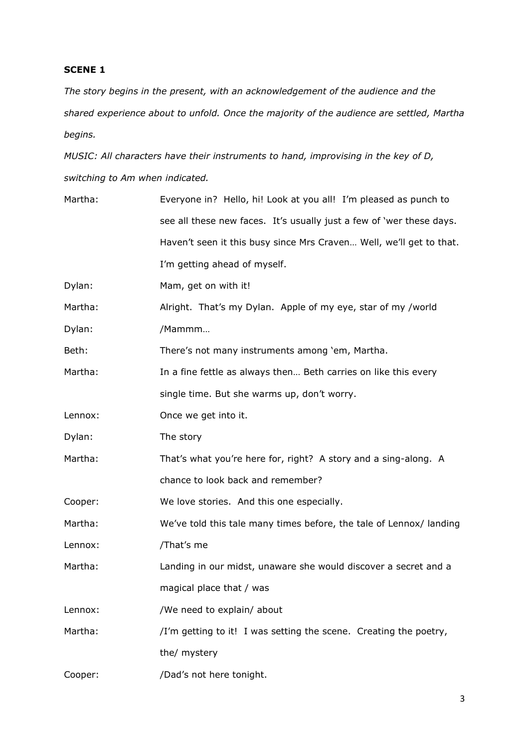*The story begins in the present, with an acknowledgement of the audience and the shared experience about to unfold. Once the majority of the audience are settled, Martha begins.*

*MUSIC: All characters have their instruments to hand, improvising in the key of D, switching to Am when indicated.*

| Martha: | Everyone in? Hello, hi! Look at you all! I'm pleased as punch to     |
|---------|----------------------------------------------------------------------|
|         | see all these new faces. It's usually just a few of 'wer these days. |
|         | Haven't seen it this busy since Mrs Craven Well, we'll get to that.  |
|         | I'm getting ahead of myself.                                         |
| Dylan:  | Mam, get on with it!                                                 |
| Martha: | Alright. That's my Dylan. Apple of my eye, star of my /world         |
| Dylan:  | /Mammm                                                               |
| Beth:   | There's not many instruments among 'em, Martha.                      |
| Martha: | In a fine fettle as always then Beth carries on like this every      |
|         | single time. But she warms up, don't worry.                          |
| Lennox: | Once we get into it.                                                 |
| Dylan:  | The story                                                            |
| Martha: | That's what you're here for, right? A story and a sing-along. A      |
|         | chance to look back and remember?                                    |
| Cooper: | We love stories. And this one especially.                            |
| Martha: | We've told this tale many times before, the tale of Lennox/landing   |
| Lennox: | /That's me                                                           |
| Martha: | Landing in our midst, unaware she would discover a secret and a      |
|         | magical place that / was                                             |
| Lennox: | /We need to explain/ about                                           |
| Martha: | /I'm getting to it! I was setting the scene. Creating the poetry,    |
|         | the/ mystery                                                         |
| Cooper: | /Dad's not here tonight.                                             |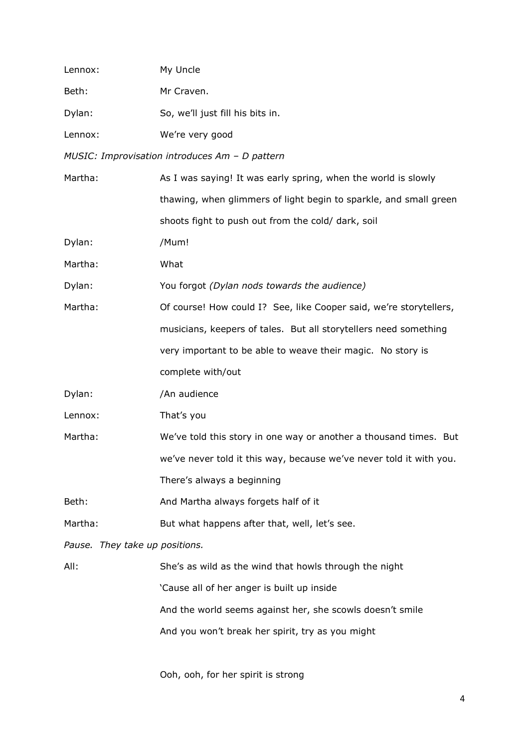| Lennox:                        | My Uncle                                                            |
|--------------------------------|---------------------------------------------------------------------|
| Beth:                          | Mr Craven.                                                          |
| Dylan:                         | So, we'll just fill his bits in.                                    |
| Lennox:                        | We're very good                                                     |
|                                | MUSIC: Improvisation introduces Am - D pattern                      |
| Martha:                        | As I was saying! It was early spring, when the world is slowly      |
|                                | thawing, when glimmers of light begin to sparkle, and small green   |
|                                | shoots fight to push out from the cold/ dark, soil                  |
| Dylan:                         | /Mum!                                                               |
| Martha:                        | What                                                                |
| Dylan:                         | You forgot (Dylan nods towards the audience)                        |
| Martha:                        | Of course! How could I? See, like Cooper said, we're storytellers,  |
|                                | musicians, keepers of tales. But all storytellers need something    |
|                                | very important to be able to weave their magic. No story is         |
|                                | complete with/out                                                   |
| Dylan:                         | /An audience                                                        |
| Lennox:                        | That's you                                                          |
| Martha:                        | We've told this story in one way or another a thousand times. But   |
|                                | we've never told it this way, because we've never told it with you. |
|                                | There's always a beginning                                          |
| Beth:                          | And Martha always forgets half of it                                |
| Martha:                        | But what happens after that, well, let's see.                       |
| Pause. They take up positions. |                                                                     |
| All:                           | She's as wild as the wind that howls through the night              |
|                                | 'Cause all of her anger is built up inside                          |
|                                | And the world seems against her, she scowls doesn't smile           |
|                                | And you won't break her spirit, try as you might                    |
|                                |                                                                     |

Ooh, ooh, for her spirit is strong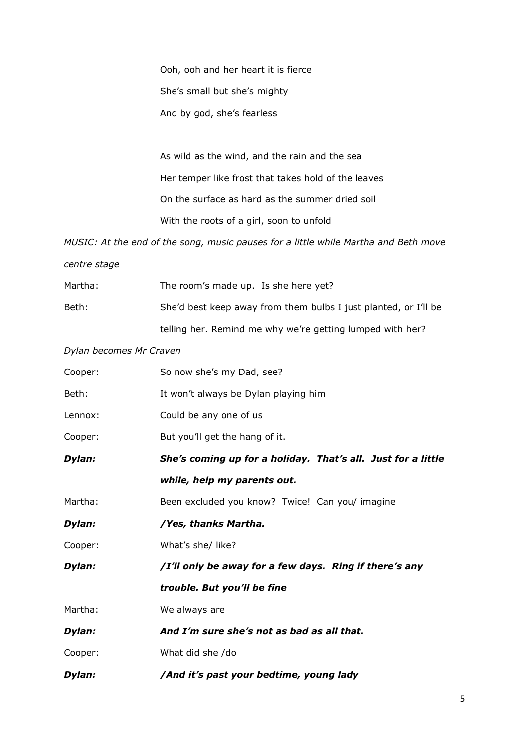Ooh, ooh and her heart it is fierce She's small but she's mighty And by god, she's fearless

As wild as the wind, and the rain and the sea Her temper like frost that takes hold of the leaves On the surface as hard as the summer dried soil With the roots of a girl, soon to unfold

*MUSIC: At the end of the song, music pauses for a little while Martha and Beth move* 

*centre stage*

| Martha: | The room's made up. Is she here yet?                            |
|---------|-----------------------------------------------------------------|
| Beth:   | She'd best keep away from them bulbs I just planted, or I'll be |
|         | telling her. Remind me why we're getting lumped with her?       |

*Dylan becomes Mr Craven*

| Cooper: | So now she's my Dad, see?                                    |
|---------|--------------------------------------------------------------|
| Beth:   | It won't always be Dylan playing him                         |
| Lennox: | Could be any one of us                                       |
| Cooper: | But you'll get the hang of it.                               |
| Dylan:  | She's coming up for a holiday. That's all. Just for a little |
|         | while, help my parents out.                                  |
| Martha: | Been excluded you know? Twice! Can you/ imagine              |
| Dylan:  | /Yes, thanks Martha.                                         |
| Cooper: | What's she/ like?                                            |
| Dylan:  | /I'll only be away for a few days. Ring if there's any       |
|         | trouble. But you'll be fine                                  |
| Martha: | We always are                                                |
| Dylan:  | And I'm sure she's not as bad as all that.                   |
| Cooper: | What did she /do                                             |
| Dylan:  | /And it's past your bedtime, young lady                      |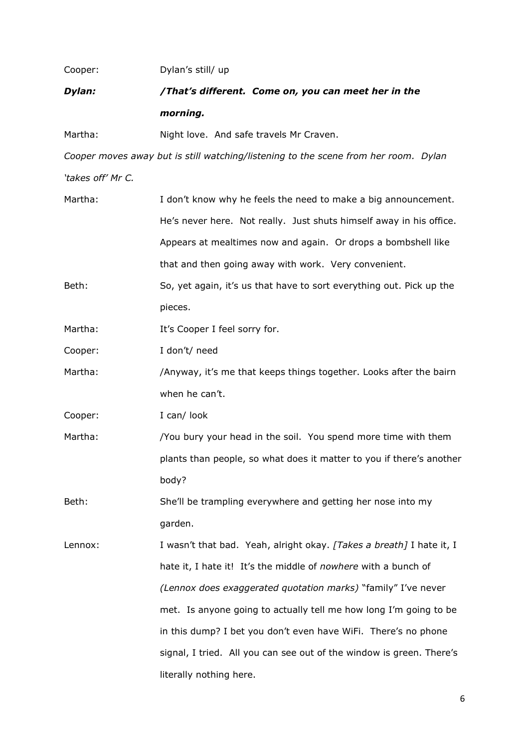| Cooper:           | Dylan's still/ up                                                                   |
|-------------------|-------------------------------------------------------------------------------------|
| Dylan:            | /That's different. Come on, you can meet her in the                                 |
|                   | morning.                                                                            |
| Martha:           | Night love. And safe travels Mr Craven.                                             |
|                   | Cooper moves away but is still watching/listening to the scene from her room. Dylan |
| 'takes off' Mr C. |                                                                                     |
| Martha:           | I don't know why he feels the need to make a big announcement.                      |
|                   | He's never here. Not really. Just shuts himself away in his office.                 |
|                   | Appears at mealtimes now and again. Or drops a bombshell like                       |
|                   | that and then going away with work. Very convenient.                                |
| Beth:             | So, yet again, it's us that have to sort everything out. Pick up the                |
|                   | pieces.                                                                             |
| Martha:           | It's Cooper I feel sorry for.                                                       |
| Cooper:           | I don't/ need                                                                       |
| Martha:           | /Anyway, it's me that keeps things together. Looks after the bairn                  |
|                   | when he can't.                                                                      |
| Cooper:           | I can/ look                                                                         |
| Martha:           | /You bury your head in the soil. You spend more time with them                      |
|                   | plants than people, so what does it matter to you if there's another                |
|                   | body?                                                                               |
| Beth:             | She'll be trampling everywhere and getting her nose into my                         |
|                   | garden.                                                                             |
| Lennox:           | I wasn't that bad. Yeah, alright okay. [Takes a breath] I hate it, I                |
|                   | hate it, I hate it! It's the middle of nowhere with a bunch of                      |
|                   | (Lennox does exaggerated quotation marks) "family" I've never                       |
|                   | met. Is anyone going to actually tell me how long I'm going to be                   |
|                   | in this dump? I bet you don't even have WiFi. There's no phone                      |
|                   | signal, I tried. All you can see out of the window is green. There's                |
|                   | literally nothing here.                                                             |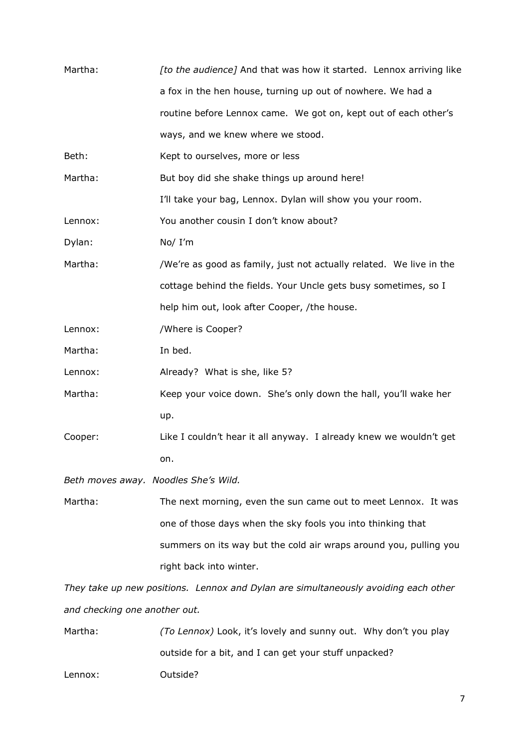| Martha:                              | [to the audience] And that was how it started. Lennox arriving like                 |
|--------------------------------------|-------------------------------------------------------------------------------------|
|                                      | a fox in the hen house, turning up out of nowhere. We had a                         |
|                                      | routine before Lennox came. We got on, kept out of each other's                     |
|                                      | ways, and we knew where we stood.                                                   |
| Beth:                                | Kept to ourselves, more or less                                                     |
| Martha:                              | But boy did she shake things up around here!                                        |
|                                      | I'll take your bag, Lennox. Dylan will show you your room.                          |
| Lennox:                              | You another cousin I don't know about?                                              |
| Dylan:                               | No/ I'm                                                                             |
| Martha:                              | /We're as good as family, just not actually related. We live in the                 |
|                                      | cottage behind the fields. Your Uncle gets busy sometimes, so I                     |
|                                      | help him out, look after Cooper, /the house.                                        |
| Lennox:                              | /Where is Cooper?                                                                   |
| Martha:                              | In bed.                                                                             |
| Lennox:                              | Already? What is she, like 5?                                                       |
| Martha:                              | Keep your voice down. She's only down the hall, you'll wake her                     |
|                                      | up.                                                                                 |
| Cooper:                              | Like I couldn't hear it all anyway. I already knew we wouldn't get                  |
|                                      | on.                                                                                 |
| Beth moves away. Noodles She's Wild. |                                                                                     |
| Martha:                              | The next morning, even the sun came out to meet Lennox. It was                      |
|                                      | one of those days when the sky fools you into thinking that                         |
|                                      | summers on its way but the cold air wraps around you, pulling you                   |
|                                      | right back into winter.                                                             |
|                                      | They take up new positions. Lennox and Dylan are simultaneously avoiding each other |
| and checking one another out.        |                                                                                     |
| Martha:                              | (To Lennox) Look, it's lovely and sunny out. Why don't you play                     |

outside for a bit, and I can get your stuff unpacked?

Lennox: Outside?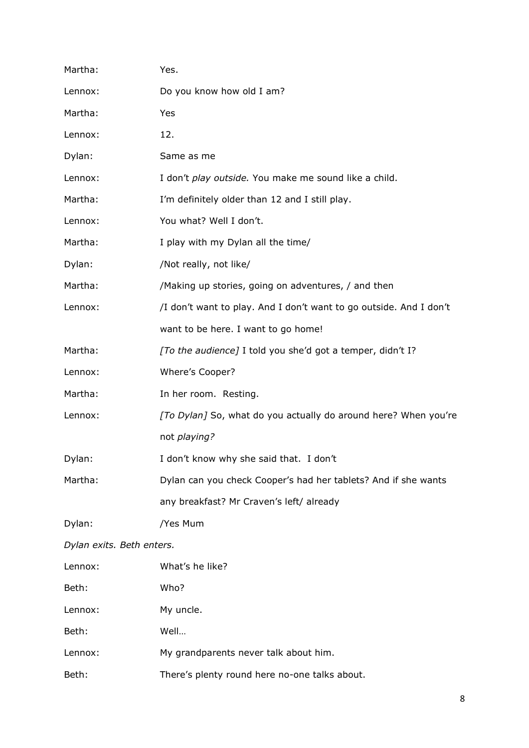| Martha:                   | Yes.                                                               |  |
|---------------------------|--------------------------------------------------------------------|--|
| Lennox:                   | Do you know how old I am?                                          |  |
| Martha:                   | Yes                                                                |  |
| Lennox:                   | 12.                                                                |  |
| Dylan:                    | Same as me                                                         |  |
| Lennox:                   | I don't play outside. You make me sound like a child.              |  |
| Martha:                   | I'm definitely older than 12 and I still play.                     |  |
| Lennox:                   | You what? Well I don't.                                            |  |
| Martha:                   | I play with my Dylan all the time/                                 |  |
| Dylan:                    | /Not really, not like/                                             |  |
| Martha:                   | /Making up stories, going on adventures, / and then                |  |
| Lennox:                   | /I don't want to play. And I don't want to go outside. And I don't |  |
|                           | want to be here. I want to go home!                                |  |
| Martha:                   | [To the audience] I told you she'd got a temper, didn't I?         |  |
| Lennox:                   | Where's Cooper?                                                    |  |
| Martha:                   | In her room. Resting.                                              |  |
| Lennox:                   | [To Dylan] So, what do you actually do around here? When you're    |  |
|                           | not playing?                                                       |  |
| Dylan:                    | I don't know why she said that. I don't                            |  |
| Martha:                   | Dylan can you check Cooper's had her tablets? And if she wants     |  |
|                           | any breakfast? Mr Craven's left/ already                           |  |
| Dylan:                    | /Yes Mum                                                           |  |
| Dylan exits. Beth enters. |                                                                    |  |
| Lennox:                   | What's he like?                                                    |  |
| Beth:                     | Who?                                                               |  |
| Lennox:                   | My uncle.                                                          |  |
| Beth:                     | Well                                                               |  |
| Lennox:                   | My grandparents never talk about him.                              |  |
| Beth:                     | There's plenty round here no-one talks about.                      |  |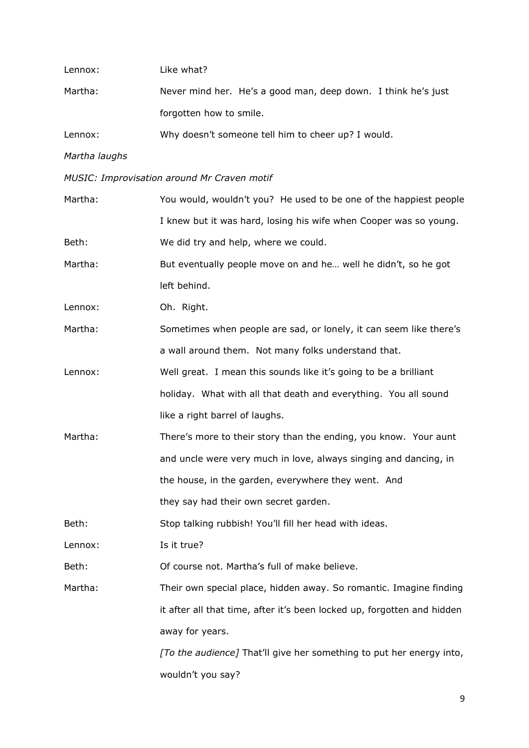| Lennox:       | Like what?                                                              |
|---------------|-------------------------------------------------------------------------|
| Martha:       | Never mind her. He's a good man, deep down. I think he's just           |
|               | forgotten how to smile.                                                 |
| Lennox:       | Why doesn't someone tell him to cheer up? I would.                      |
| Martha laughs |                                                                         |
|               | MUSIC: Improvisation around Mr Craven motif                             |
| Martha:       | You would, wouldn't you? He used to be one of the happiest people       |
|               | I knew but it was hard, losing his wife when Cooper was so young.       |
| Beth:         | We did try and help, where we could.                                    |
| Martha:       | But eventually people move on and he well he didn't, so he got          |
|               | left behind.                                                            |
| Lennox:       | Oh. Right.                                                              |
| Martha:       | Sometimes when people are sad, or lonely, it can seem like there's      |
|               | a wall around them. Not many folks understand that.                     |
| Lennox:       | Well great. I mean this sounds like it's going to be a brilliant        |
|               | holiday. What with all that death and everything. You all sound         |
|               | like a right barrel of laughs.                                          |
| Martha:       | There's more to their story than the ending, you know. Your aunt        |
|               | and uncle were very much in love, always singing and dancing, in        |
|               | the house, in the garden, everywhere they went. And                     |
|               | they say had their own secret garden.                                   |
| Beth:         | Stop talking rubbish! You'll fill her head with ideas.                  |
| Lennox:       | Is it true?                                                             |
| Beth:         | Of course not. Martha's full of make believe.                           |
| Martha:       | Their own special place, hidden away. So romantic. Imagine finding      |
|               | it after all that time, after it's been locked up, forgotten and hidden |
|               | away for years.                                                         |
|               | [To the audience] That'll give her something to put her energy into,    |
|               | wouldn't you say?                                                       |
|               |                                                                         |

9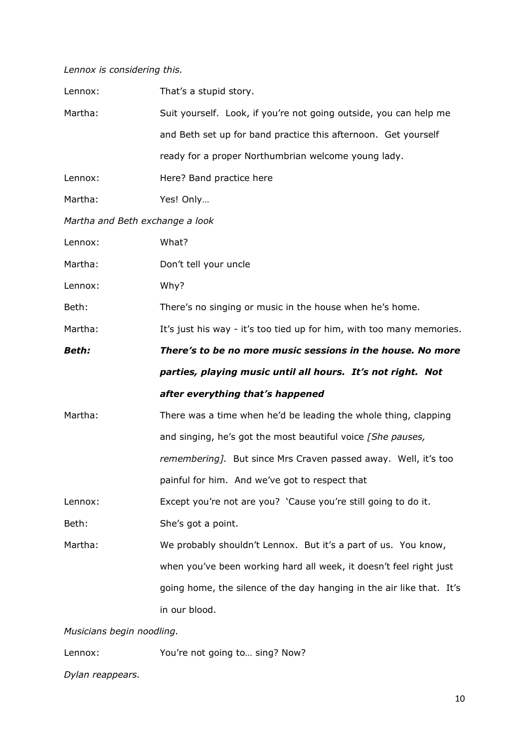# *Lennox is considering this.*

| Lennox:                         | That's a stupid story.                                                |
|---------------------------------|-----------------------------------------------------------------------|
| Martha:                         | Suit yourself. Look, if you're not going outside, you can help me     |
|                                 | and Beth set up for band practice this afternoon. Get yourself        |
|                                 | ready for a proper Northumbrian welcome young lady.                   |
| Lennox:                         | Here? Band practice here                                              |
| Martha:                         | Yes! Only                                                             |
| Martha and Beth exchange a look |                                                                       |
| Lennox:                         | What?                                                                 |
| Martha:                         | Don't tell your uncle                                                 |
| Lennox:                         | Why?                                                                  |
| Beth:                           | There's no singing or music in the house when he's home.              |
| Martha:                         | It's just his way - it's too tied up for him, with too many memories. |
| <b>Beth:</b>                    | There's to be no more music sessions in the house. No more            |
|                                 |                                                                       |
|                                 | parties, playing music until all hours. It's not right. Not           |
|                                 | after everything that's happened                                      |
| Martha:                         | There was a time when he'd be leading the whole thing, clapping       |
|                                 | and singing, he's got the most beautiful voice [She pauses,           |
|                                 | remembering]. But since Mrs Craven passed away. Well, it's too        |
|                                 | painful for him. And we've got to respect that                        |
| Lennox:                         | Except you're not are you? 'Cause you're still going to do it.        |
| Beth:                           | She's got a point.                                                    |
| Martha:                         | We probably shouldn't Lennox. But it's a part of us. You know,        |
|                                 | when you've been working hard all week, it doesn't feel right just    |
|                                 | going home, the silence of the day hanging in the air like that. It's |
|                                 | in our blood.                                                         |

Lennox: You're not going to... sing? Now?

*Dylan reappears.*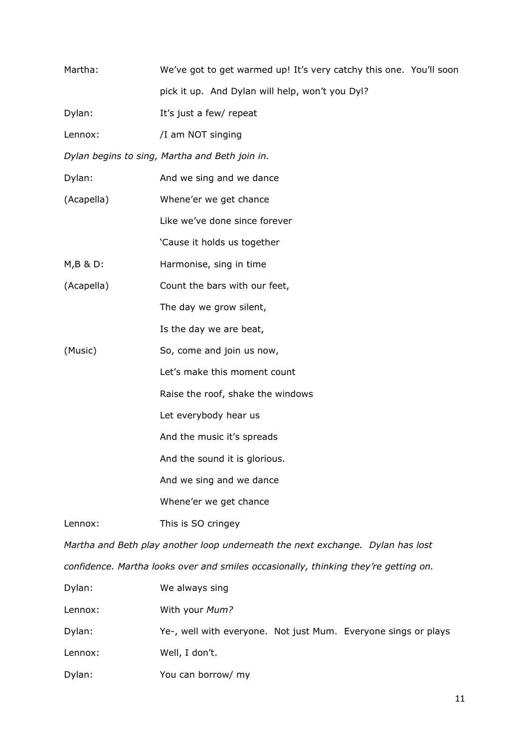| Martha:                                                                             | We've got to get warmed up! It's very catchy this one. You'll soon             |
|-------------------------------------------------------------------------------------|--------------------------------------------------------------------------------|
|                                                                                     | pick it up. And Dylan will help, won't you Dyl?                                |
| Dylan:                                                                              | It's just a few/ repeat                                                        |
| Lennox:                                                                             | /I am NOT singing                                                              |
|                                                                                     | Dylan begins to sing, Martha and Beth join in.                                 |
| Dylan:                                                                              | And we sing and we dance                                                       |
| (Acapella)                                                                          | Whene'er we get chance                                                         |
|                                                                                     | Like we've done since forever                                                  |
|                                                                                     | 'Cause it holds us together                                                    |
| M, B & D:                                                                           | Harmonise, sing in time                                                        |
| (Acapella)                                                                          | Count the bars with our feet,                                                  |
|                                                                                     | The day we grow silent,                                                        |
|                                                                                     | Is the day we are beat,                                                        |
| (Music)                                                                             | So, come and join us now,                                                      |
|                                                                                     | Let's make this moment count                                                   |
|                                                                                     | Raise the roof, shake the windows                                              |
|                                                                                     | Let everybody hear us                                                          |
|                                                                                     | And the music it's spreads                                                     |
|                                                                                     | And the sound it is glorious.                                                  |
|                                                                                     | And we sing and we dance                                                       |
|                                                                                     | Whene'er we get chance                                                         |
| Lennox:                                                                             | This is SO cringey                                                             |
|                                                                                     | Martha and Beth play another loop underneath the next exchange. Dylan has lost |
| confidence. Martha looks over and smiles occasionally, thinking they're getting on. |                                                                                |
| Dylan:                                                                              | We always sing                                                                 |
| Lennox:                                                                             | With your Mum?                                                                 |
| Dylan:                                                                              | Ye-, well with everyone. Not just Mum. Everyone sings or plays                 |
| Lennox:                                                                             | Well, I don't.                                                                 |
| Dylan:                                                                              | You can borrow/ my                                                             |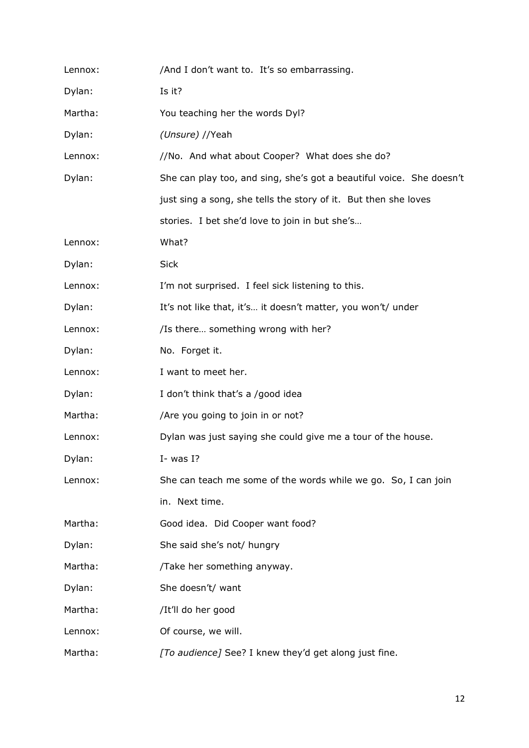| Lennox: | /And I don't want to. It's so embarrassing.                          |
|---------|----------------------------------------------------------------------|
| Dylan:  | Is it?                                                               |
| Martha: | You teaching her the words Dyl?                                      |
| Dylan:  | (Unsure) //Yeah                                                      |
| Lennox: | //No. And what about Cooper? What does she do?                       |
| Dylan:  | She can play too, and sing, she's got a beautiful voice. She doesn't |
|         | just sing a song, she tells the story of it. But then she loves      |
|         | stories. I bet she'd love to join in but she's                       |
| Lennox: | What?                                                                |
| Dylan:  | <b>Sick</b>                                                          |
| Lennox: | I'm not surprised. I feel sick listening to this.                    |
| Dylan:  | It's not like that, it's it doesn't matter, you won't/ under         |
| Lennox: | /Is there something wrong with her?                                  |
| Dylan:  | No. Forget it.                                                       |
| Lennox: | I want to meet her.                                                  |
| Dylan:  | I don't think that's a /good idea                                    |
| Martha: | /Are you going to join in or not?                                    |
| Lennox: | Dylan was just saying she could give me a tour of the house.         |
| Dylan:  | $I-$ was I?                                                          |
| Lennox: | She can teach me some of the words while we go. So, I can join       |
|         | in. Next time.                                                       |
| Martha: | Good idea. Did Cooper want food?                                     |
| Dylan:  | She said she's not/ hungry                                           |
| Martha: | /Take her something anyway.                                          |
| Dylan:  | She doesn't/ want                                                    |
| Martha: | /It'll do her good                                                   |
| Lennox: | Of course, we will.                                                  |
| Martha: | [To audience] See? I knew they'd get along just fine.                |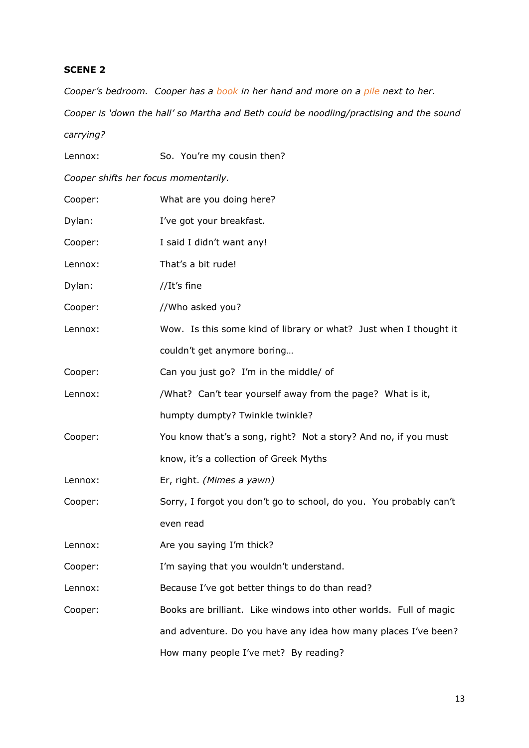*Cooper's bedroom. Cooper has a book in her hand and more on a pile next to her. Cooper is 'down the hall' so Martha and Beth could be noodling/practising and the sound carrying?*

| Lennox:                              | So. You're my cousin then?                                         |
|--------------------------------------|--------------------------------------------------------------------|
| Cooper shifts her focus momentarily. |                                                                    |
| Cooper:                              | What are you doing here?                                           |
| Dylan:                               | I've got your breakfast.                                           |
| Cooper:                              | I said I didn't want any!                                          |
| Lennox:                              | That's a bit rude!                                                 |
| Dylan:                               | //It's fine                                                        |
| Cooper:                              | //Who asked you?                                                   |
| Lennox:                              | Wow. Is this some kind of library or what? Just when I thought it  |
|                                      | couldn't get anymore boring                                        |
| Cooper:                              | Can you just go? I'm in the middle/ of                             |
| Lennox:                              | /What? Can't tear yourself away from the page? What is it,         |
|                                      | humpty dumpty? Twinkle twinkle?                                    |
| Cooper:                              | You know that's a song, right? Not a story? And no, if you must    |
|                                      | know, it's a collection of Greek Myths                             |
| Lennox:                              | Er, right. (Mimes a yawn)                                          |
| Cooper:                              | Sorry, I forgot you don't go to school, do you. You probably can't |
|                                      | even read                                                          |
| Lennox:                              | Are you saying I'm thick?                                          |
| Cooper:                              | I'm saying that you wouldn't understand.                           |
| Lennox:                              | Because I've got better things to do than read?                    |
| Cooper:                              | Books are brilliant. Like windows into other worlds. Full of magic |
|                                      | and adventure. Do you have any idea how many places I've been?     |
|                                      | How many people I've met? By reading?                              |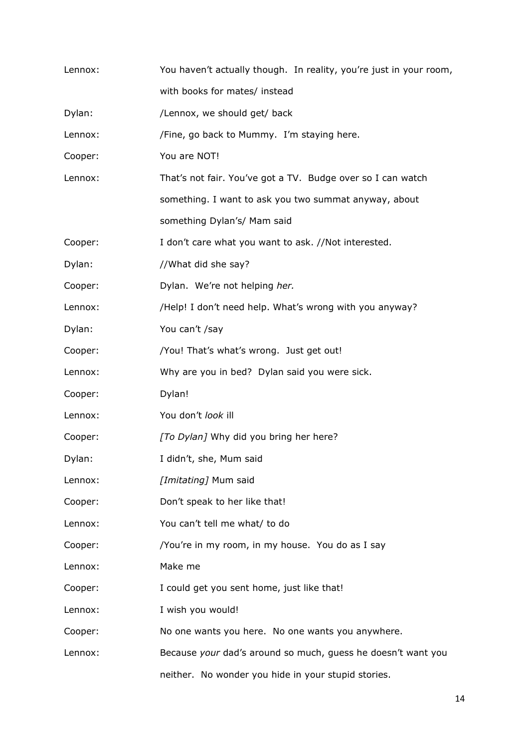| Lennox: | You haven't actually though. In reality, you're just in your room, |
|---------|--------------------------------------------------------------------|
|         | with books for mates/ instead                                      |
| Dylan:  | /Lennox, we should get/ back                                       |
| Lennox: | /Fine, go back to Mummy. I'm staying here.                         |
| Cooper: | You are NOT!                                                       |
| Lennox: | That's not fair. You've got a TV. Budge over so I can watch        |
|         | something. I want to ask you two summat anyway, about              |
|         | something Dylan's/ Mam said                                        |
| Cooper: | I don't care what you want to ask. //Not interested.               |
| Dylan:  | //What did she say?                                                |
| Cooper: | Dylan. We're not helping her.                                      |
| Lennox: | /Help! I don't need help. What's wrong with you anyway?            |
| Dylan:  | You can't /say                                                     |
| Cooper: | /You! That's what's wrong. Just get out!                           |
| Lennox: | Why are you in bed? Dylan said you were sick.                      |
| Cooper: | Dylan!                                                             |
| Lennox: | You don't look ill                                                 |
| Cooper: | [To Dylan] Why did you bring her here?                             |
| Dylan:  | I didn't, she, Mum said                                            |
| Lennox: | [Imitating] Mum said                                               |
| Cooper: | Don't speak to her like that!                                      |
| Lennox: | You can't tell me what/ to do                                      |
| Cooper: | /You're in my room, in my house. You do as I say                   |
| Lennox: | Make me                                                            |
| Cooper: | I could get you sent home, just like that!                         |
| Lennox: | I wish you would!                                                  |
| Cooper: | No one wants you here. No one wants you anywhere.                  |
| Lennox: | Because your dad's around so much, guess he doesn't want you       |
|         | neither. No wonder you hide in your stupid stories.                |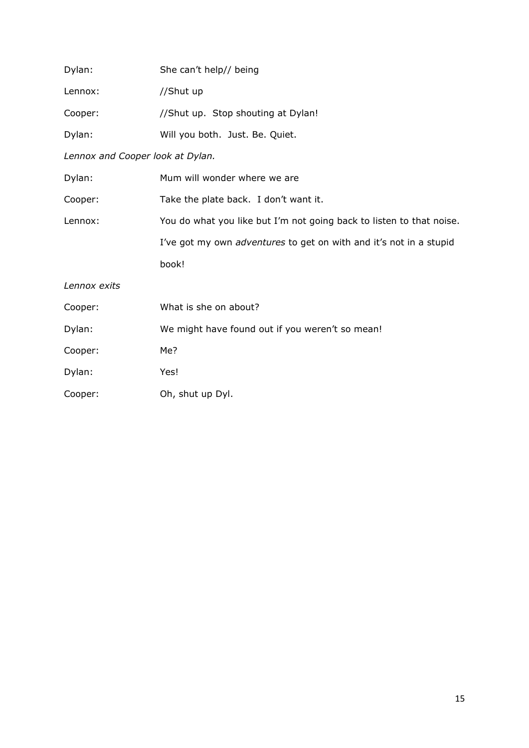| Dylan:                           | She can't help// being                                               |
|----------------------------------|----------------------------------------------------------------------|
| Lennox:                          | //Shut up                                                            |
| Cooper:                          | //Shut up. Stop shouting at Dylan!                                   |
| Dylan:                           | Will you both. Just. Be. Quiet.                                      |
| Lennox and Cooper look at Dylan. |                                                                      |
| Dylan:                           | Mum will wonder where we are                                         |
| Cooper:                          | Take the plate back. I don't want it.                                |
| Lennox:                          | You do what you like but I'm not going back to listen to that noise. |
|                                  | I've got my own adventures to get on with and it's not in a stupid   |
|                                  | book!                                                                |
| Lennox exits                     |                                                                      |
| Cooper:                          | What is she on about?                                                |
| Dylan:                           | We might have found out if you weren't so mean!                      |
| Cooper:                          | Me?                                                                  |
| Dylan:                           | Yes!                                                                 |
| Cooper:                          | Oh, shut up Dyl.                                                     |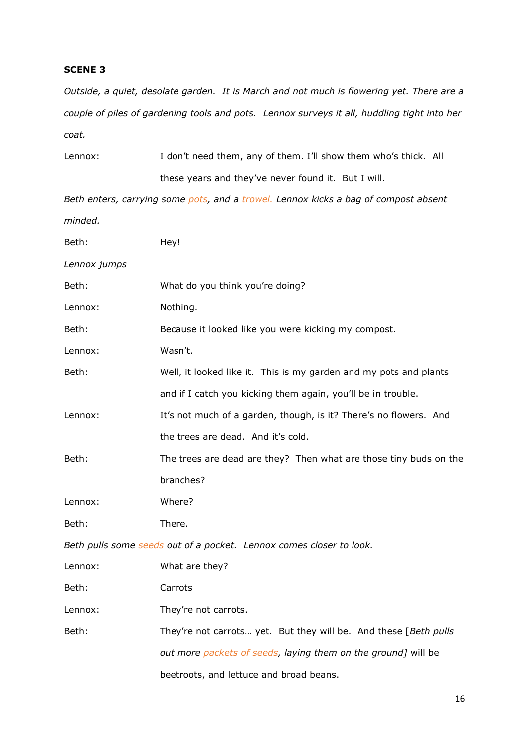*Outside, a quiet, desolate garden. It is March and not much is flowering yet. There are a couple of piles of gardening tools and pots. Lennox surveys it all, huddling tight into her coat.*

| Lennox: | I don't need them, any of them. I'll show them who's thick. All |  |
|---------|-----------------------------------------------------------------|--|
|         | these years and they've never found it. But I will.             |  |

*Beth enters, carrying some pots, and a trowel. Lennox kicks a bag of compost absent minded.*

| Beth:        | Hey!                                                                |
|--------------|---------------------------------------------------------------------|
| Lennox jumps |                                                                     |
| Beth:        | What do you think you're doing?                                     |
| Lennox:      | Nothing.                                                            |
| Beth:        | Because it looked like you were kicking my compost.                 |
| Lennox:      | Wasn't.                                                             |
| Beth:        | Well, it looked like it. This is my garden and my pots and plants   |
|              | and if I catch you kicking them again, you'll be in trouble.        |
| Lennox:      | It's not much of a garden, though, is it? There's no flowers. And   |
|              | the trees are dead. And it's cold.                                  |
| Beth:        | The trees are dead are they? Then what are those tiny buds on the   |
|              | branches?                                                           |
| Lennox:      | Where?                                                              |
| Beth:        | There.                                                              |
|              | Beth pulls some seeds out of a pocket. Lennox comes closer to look. |
| Lennox:      | What are they?                                                      |
| Beth:        | Carrots                                                             |
| Lennox:      | They're not carrots.                                                |
| Beth:        | They're not carrots yet. But they will be. And these [Beth pulls    |
|              | out more packets of seeds, laying them on the ground] will be       |
|              | beetroots, and lettuce and broad beans.                             |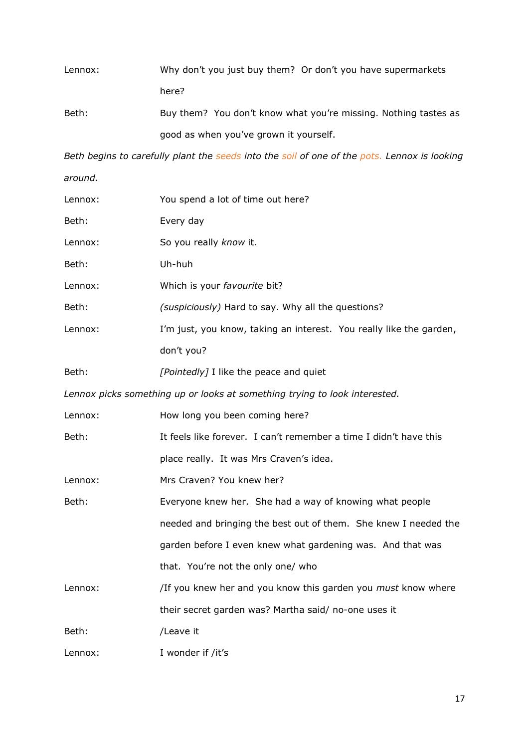| Lennox: | Why don't you just buy them? Or don't you have supermarkets |
|---------|-------------------------------------------------------------|
|         | here?                                                       |
|         |                                                             |

Beth: Buy them? You don't know what you're missing. Nothing tastes as good as when you've grown it yourself.

*Beth begins to carefully plant the seeds into the soil of one of the pots. Lennox is looking around.*

| Lennox: | You spend a lot of time out here?                                          |
|---------|----------------------------------------------------------------------------|
| Beth:   | Every day                                                                  |
| Lennox: | So you really know it.                                                     |
| Beth:   | Uh-huh                                                                     |
| Lennox: | Which is your favourite bit?                                               |
| Beth:   | (suspiciously) Hard to say. Why all the questions?                         |
| Lennox: | I'm just, you know, taking an interest. You really like the garden,        |
|         | don't you?                                                                 |
| Beth:   | [Pointedly] I like the peace and quiet                                     |
|         | Lennox picks something up or looks at something trying to look interested. |
| Lennox: | How long you been coming here?                                             |
| Beth:   | It feels like forever. I can't remember a time I didn't have this          |
|         | place really. It was Mrs Craven's idea.                                    |
| Lennox: | Mrs Craven? You knew her?                                                  |
| Beth:   | Everyone knew her. She had a way of knowing what people                    |
|         | needed and bringing the best out of them. She knew I needed the            |
|         | garden before I even knew what gardening was. And that was                 |
|         | that. You're not the only one/ who                                         |
| Lennox: | /If you knew her and you know this garden you <i>must</i> know where       |
|         | their secret garden was? Martha said/ no-one uses it                       |
| Beth:   | /Leave it                                                                  |
| Lennox: | I wonder if /it's                                                          |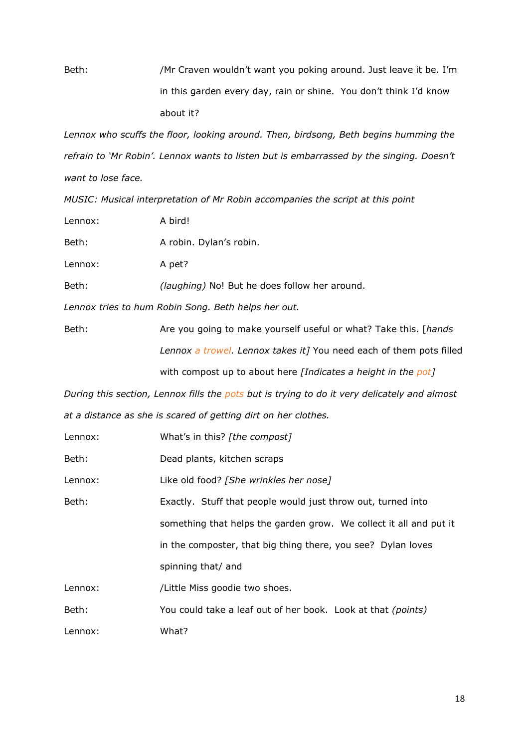Beth: /Mr Craven wouldn't want you poking around. Just leave it be. I'm in this garden every day, rain or shine. You don't think I'd know about it?

*Lennox who scuffs the floor, looking around. Then, birdsong, Beth begins humming the refrain to 'Mr Robin'. Lennox wants to listen but is embarrassed by the singing. Doesn't want to lose face.*

*MUSIC: Musical interpretation of Mr Robin accompanies the script at this point* 

| Lennox:                                             | A bird!                                                                    |  |
|-----------------------------------------------------|----------------------------------------------------------------------------|--|
| Beth:                                               | A robin. Dylan's robin.                                                    |  |
| Lennox:                                             | A pet?                                                                     |  |
| Beth:                                               | <i>(laughing)</i> No! But he does follow her around.                       |  |
| Lennox tries to hum Robin Song. Beth helps her out. |                                                                            |  |
| Beth:                                               | Are you going to make yourself useful or what? Take this. [ <i>hands</i> ] |  |
|                                                     | Lennox a trowel. Lennox takes it] You need each of them pots filled        |  |
|                                                     | with compost up to about here [Indicates a height in the pot]              |  |

*During this section, Lennox fills the pots but is trying to do it very delicately and almost at a distance as she is scared of getting dirt on her clothes.*

| Lennox: | What's in this? [the compost]                                      |
|---------|--------------------------------------------------------------------|
| Beth:   | Dead plants, kitchen scraps                                        |
| Lennox: | Like old food? [She wrinkles her nose]                             |
| Beth:   | Exactly. Stuff that people would just throw out, turned into       |
|         | something that helps the garden grow. We collect it all and put it |
|         | in the composter, that big thing there, you see? Dylan loves       |
|         | spinning that/ and                                                 |
| Lennox: | /Little Miss goodie two shoes.                                     |
| Beth:   | You could take a leaf out of her book. Look at that (points)       |
| Lennox: | What?                                                              |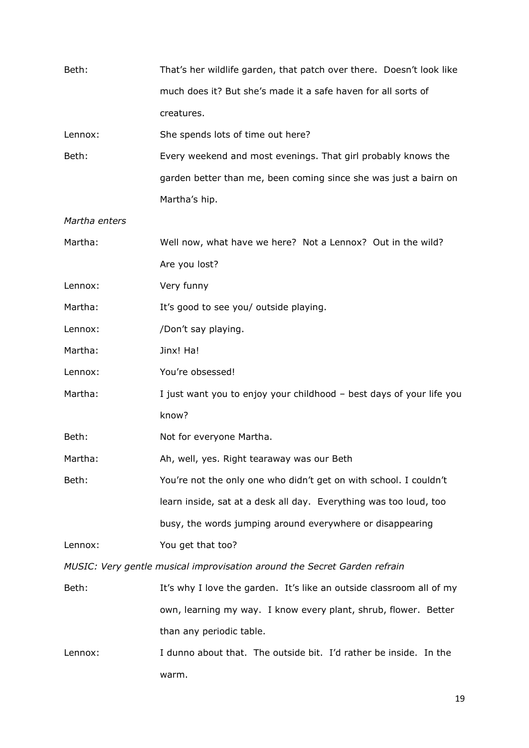| Beth:         | That's her wildlife garden, that patch over there. Doesn't look like      |
|---------------|---------------------------------------------------------------------------|
|               | much does it? But she's made it a safe haven for all sorts of             |
|               | creatures.                                                                |
| Lennox:       | She spends lots of time out here?                                         |
| Beth:         | Every weekend and most evenings. That girl probably knows the             |
|               | garden better than me, been coming since she was just a bairn on          |
|               | Martha's hip.                                                             |
| Martha enters |                                                                           |
| Martha:       | Well now, what have we here? Not a Lennox? Out in the wild?               |
|               | Are you lost?                                                             |
| Lennox:       | Very funny                                                                |
| Martha:       | It's good to see you/ outside playing.                                    |
| Lennox:       | /Don't say playing.                                                       |
| Martha:       | Jinx! Ha!                                                                 |
| Lennox:       | You're obsessed!                                                          |
| Martha:       | I just want you to enjoy your childhood - best days of your life you      |
|               | know?                                                                     |
| Beth:         | Not for everyone Martha.                                                  |
| Martha:       | Ah, well, yes. Right tearaway was our Beth                                |
| Beth:         | You're not the only one who didn't get on with school. I couldn't         |
|               | learn inside, sat at a desk all day. Everything was too loud, too         |
|               | busy, the words jumping around everywhere or disappearing                 |
| Lennox:       | You get that too?                                                         |
|               | MUSIC: Very gentle musical improvisation around the Secret Garden refrain |
| Beth:         | It's why I love the garden. It's like an outside classroom all of my      |
|               | own, learning my way. I know every plant, shrub, flower. Better           |
|               | than any periodic table.                                                  |
| Lennox:       | I dunno about that. The outside bit. I'd rather be inside. In the         |

warm.

19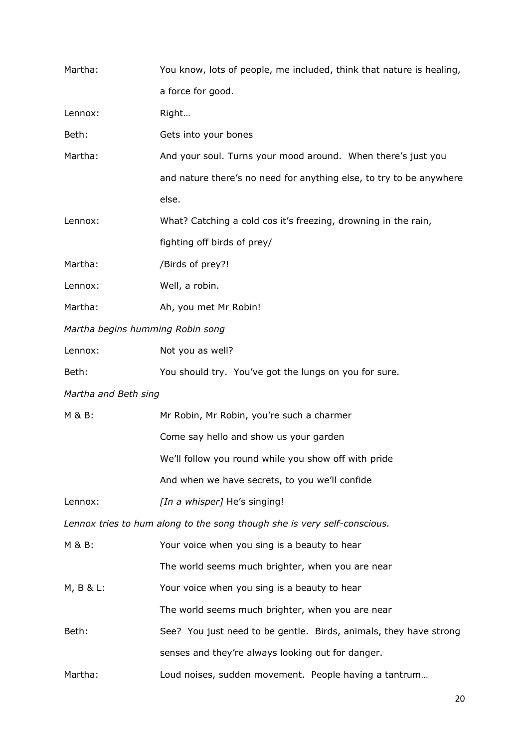| Martha:                          | You know, lots of people, me included, think that nature is healing,     |
|----------------------------------|--------------------------------------------------------------------------|
|                                  | a force for good.                                                        |
| Lennox:                          | Right                                                                    |
| Beth:                            | Gets into your bones                                                     |
| Martha:                          | And your soul. Turns your mood around. When there's just you             |
|                                  | and nature there's no need for anything else, to try to be anywhere      |
|                                  | else.                                                                    |
| Lennox:                          | What? Catching a cold cos it's freezing, drowning in the rain,           |
|                                  | fighting off birds of prey/                                              |
| Martha:                          | /Birds of prey?!                                                         |
| Lennox:                          | Well, a robin.                                                           |
| Martha:                          | Ah, you met Mr Robin!                                                    |
| Martha begins humming Robin song |                                                                          |
| Lennox:                          | Not you as well?                                                         |
| Beth:                            | You should try. You've got the lungs on you for sure.                    |
| Martha and Beth sing             |                                                                          |
| M & B:                           | Mr Robin, Mr Robin, you're such a charmer                                |
|                                  | Come say hello and show us your garden                                   |
|                                  | We'll follow you round while you show off with pride                     |
|                                  | And when we have secrets, to you we'll confide                           |
| Lennox:                          | [In a whisper] He's singing!                                             |
|                                  | Lennox tries to hum along to the song though she is very self-conscious. |
| M & B:                           | Your voice when you sing is a beauty to hear                             |
|                                  | The world seems much brighter, when you are near                         |
| $M, B & L$ :                     | Your voice when you sing is a beauty to hear                             |
|                                  | The world seems much brighter, when you are near                         |
| Beth:                            | See? You just need to be gentle. Birds, animals, they have strong        |
|                                  | senses and they're always looking out for danger.                        |
| Martha:                          | Loud noises, sudden movement. People having a tantrum                    |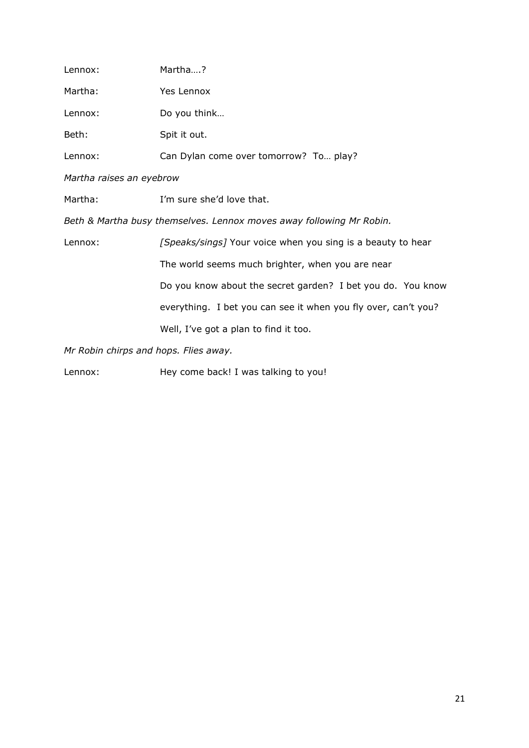| Lennox:                  | Martha?                                                              |  |
|--------------------------|----------------------------------------------------------------------|--|
| Martha:                  | Yes Lennox                                                           |  |
| Lennox:                  | Do you think                                                         |  |
| Beth:                    | Spit it out.                                                         |  |
| Lennox:                  | Can Dylan come over tomorrow? To play?                               |  |
| Martha raises an eyebrow |                                                                      |  |
| Martha:                  | I'm sure she'd love that.                                            |  |
|                          | Beth & Martha busy themselves. Lennox moves away following Mr Robin. |  |
| Lennox:                  | [Speaks/sings] Your voice when you sing is a beauty to hear          |  |
|                          | The world seems much brighter, when you are near                     |  |
|                          | Do you know about the secret garden? I bet you do. You know          |  |
|                          | everything. I bet you can see it when you fly over, can't you?       |  |
|                          | Well, I've got a plan to find it too.                                |  |

*Mr Robin chirps and hops. Flies away.*

Lennox: Hey come back! I was talking to you!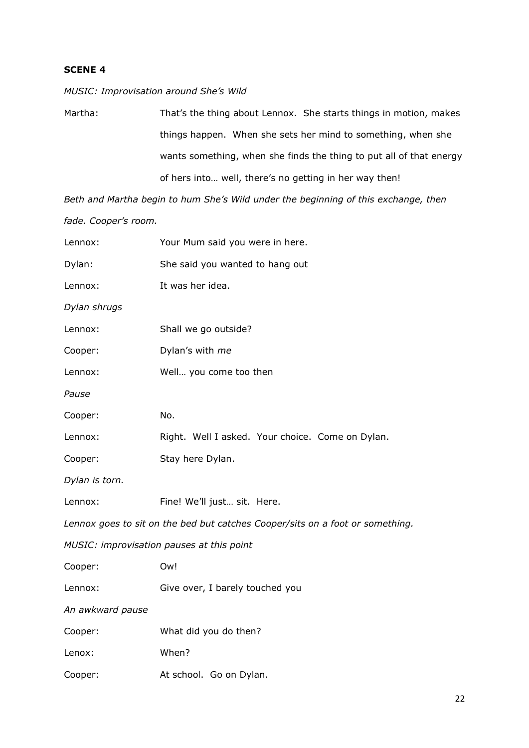*MUSIC: Improvisation around She's Wild* 

Martha: That's the thing about Lennox. She starts things in motion, makes things happen. When she sets her mind to something, when she wants something, when she finds the thing to put all of that energy of hers into… well, there's no getting in her way then!

*Beth and Martha begin to hum She's Wild under the beginning of this exchange, then fade. Cooper's room.*

| Lennox:          | Your Mum said you were in here.                                               |
|------------------|-------------------------------------------------------------------------------|
| Dylan:           | She said you wanted to hang out                                               |
| Lennox:          | It was her idea.                                                              |
| Dylan shrugs     |                                                                               |
| Lennox:          | Shall we go outside?                                                          |
| Cooper:          | Dylan's with me                                                               |
| Lennox:          | Well you come too then                                                        |
| Pause            |                                                                               |
| Cooper:          | No.                                                                           |
| Lennox:          | Right. Well I asked. Your choice. Come on Dylan.                              |
| Cooper:          | Stay here Dylan.                                                              |
| Dylan is torn.   |                                                                               |
| Lennox:          | Fine! We'll just sit. Here.                                                   |
|                  | Lennox goes to sit on the bed but catches Cooper/sits on a foot or something. |
|                  | MUSIC: improvisation pauses at this point                                     |
| Cooper:          | Ow!                                                                           |
| Lennox:          | Give over, I barely touched you                                               |
| An awkward pause |                                                                               |
| Cooper:          | What did you do then?                                                         |
| Lenox:           | When?                                                                         |
| Cooper:          | At school. Go on Dylan.                                                       |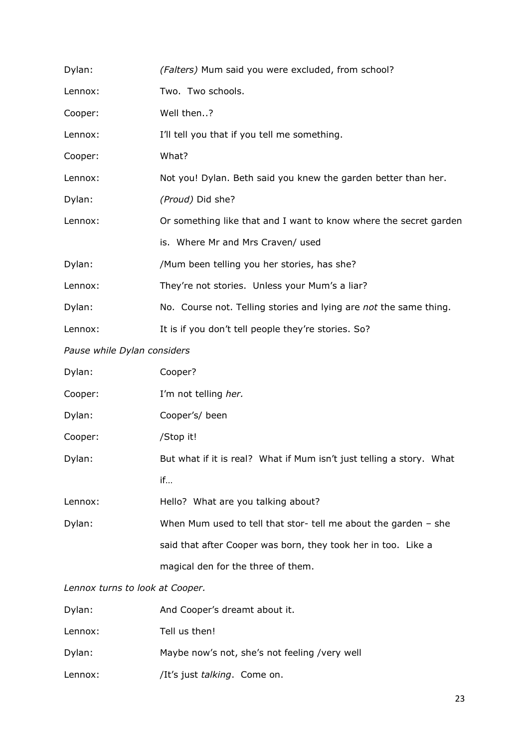| Dylan:                          | (Falters) Mum said you were excluded, from school?                   |
|---------------------------------|----------------------------------------------------------------------|
| Lennox:                         | Two. Two schools.                                                    |
| Cooper:                         | Well then?                                                           |
| Lennox:                         | I'll tell you that if you tell me something.                         |
| Cooper:                         | What?                                                                |
| Lennox:                         | Not you! Dylan. Beth said you knew the garden better than her.       |
| Dylan:                          | (Proud) Did she?                                                     |
| Lennox:                         | Or something like that and I want to know where the secret garden    |
|                                 | is. Where Mr and Mrs Craven/ used                                    |
| Dylan:                          | /Mum been telling you her stories, has she?                          |
| Lennox:                         | They're not stories. Unless your Mum's a liar?                       |
| Dylan:                          | No. Course not. Telling stories and lying are not the same thing.    |
| Lennox:                         | It is if you don't tell people they're stories. So?                  |
| Pause while Dylan considers     |                                                                      |
| Dylan:                          | Cooper?                                                              |
| Cooper:                         | I'm not telling her.                                                 |
| Dylan:                          | Cooper's/ been                                                       |
| Cooper:                         | /Stop it!                                                            |
| Dylan:                          | But what if it is real? What if Mum isn't just telling a story. What |
|                                 | if                                                                   |
| Lennox:                         | Hello? What are you talking about?                                   |
| Dylan:                          | When Mum used to tell that stor- tell me about the garden - she      |
|                                 | said that after Cooper was born, they took her in too. Like a        |
|                                 | magical den for the three of them.                                   |
| Lennox turns to look at Cooper. |                                                                      |
| Dylan:                          | And Cooner's dreamt about it                                         |

| Dylan:  | And Cooper's dreamt about it.                 |
|---------|-----------------------------------------------|
| Lennox: | Tell us then!                                 |
| Dylan:  | Maybe now's not, she's not feeling /very well |
| Lennox: | /It's just talking. Come on.                  |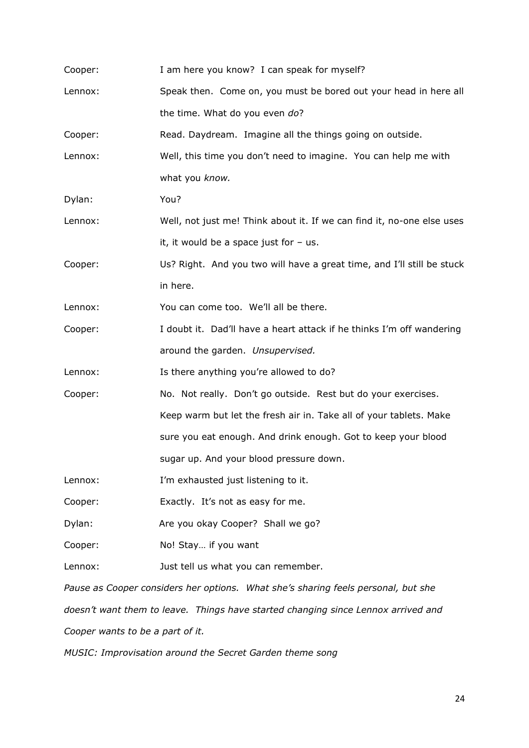| Cooper: | I am here you know? I can speak for myself?                                       |
|---------|-----------------------------------------------------------------------------------|
| Lennox: | Speak then. Come on, you must be bored out your head in here all                  |
|         | the time. What do you even do?                                                    |
| Cooper: | Read. Daydream. Imagine all the things going on outside.                          |
| Lennox: | Well, this time you don't need to imagine. You can help me with                   |
|         | what you know.                                                                    |
| Dylan:  | You?                                                                              |
| Lennox: | Well, not just me! Think about it. If we can find it, no-one else uses            |
|         | it, it would be a space just for $-$ us.                                          |
| Cooper: | Us? Right. And you two will have a great time, and I'll still be stuck            |
|         | in here.                                                                          |
| Lennox: | You can come too. We'll all be there.                                             |
| Cooper: | I doubt it. Dad'll have a heart attack if he thinks I'm off wandering             |
|         | around the garden. Unsupervised.                                                  |
| Lennox: | Is there anything you're allowed to do?                                           |
| Cooper: | No. Not really. Don't go outside. Rest but do your exercises.                     |
|         | Keep warm but let the fresh air in. Take all of your tablets. Make                |
|         | sure you eat enough. And drink enough. Got to keep your blood                     |
|         | sugar up. And your blood pressure down.                                           |
| Lennox: | I'm exhausted just listening to it.                                               |
| Cooper: | Exactly. It's not as easy for me.                                                 |
| Dylan:  | Are you okay Cooper? Shall we go?                                                 |
| Cooper: | No! Stay if you want                                                              |
| Lennox: | Just tell us what you can remember.                                               |
|         | Pause as Cooper considers her options. What she's sharing feels personal, but she |
|         | doesn't want them to leave. Things have started changing since Lennox arrived and |

*Cooper wants to be a part of it.*

*MUSIC: Improvisation around the Secret Garden theme song*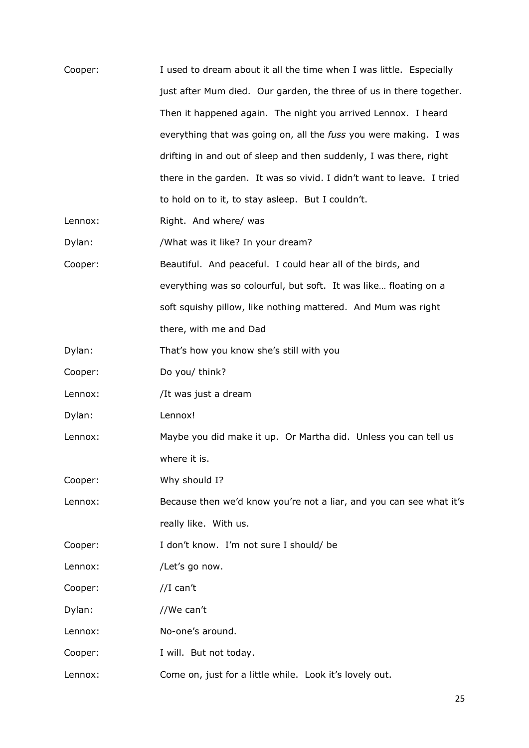| Cooper: | I used to dream about it all the time when I was little. Especially   |
|---------|-----------------------------------------------------------------------|
|         | just after Mum died. Our garden, the three of us in there together.   |
|         | Then it happened again. The night you arrived Lennox. I heard         |
|         | everything that was going on, all the fuss you were making. I was     |
|         | drifting in and out of sleep and then suddenly, I was there, right    |
|         | there in the garden. It was so vivid. I didn't want to leave. I tried |
|         | to hold on to it, to stay asleep. But I couldn't.                     |
| Lennox: | Right. And where/ was                                                 |
| Dylan:  | /What was it like? In your dream?                                     |
| Cooper: | Beautiful. And peaceful. I could hear all of the birds, and           |
|         | everything was so colourful, but soft. It was like floating on a      |
|         | soft squishy pillow, like nothing mattered. And Mum was right         |
|         | there, with me and Dad                                                |
| Dylan:  | That's how you know she's still with you                              |
| Cooper: | Do you/ think?                                                        |
| Lennox: | /It was just a dream                                                  |
| Dylan:  | Lennox!                                                               |
| Lennox: | Maybe you did make it up. Or Martha did. Unless you can tell us       |
|         | where it is.                                                          |
| Cooper: | Why should I?                                                         |
| Lennox: | Because then we'd know you're not a liar, and you can see what it's   |
|         | really like. With us.                                                 |
| Cooper: | I don't know. I'm not sure I should/ be                               |
| Lennox: | /Let's go now.                                                        |
| Cooper: | //I can't                                                             |
| Dylan:  | //We can't                                                            |
| Lennox: | No-one's around.                                                      |
| Cooper: | I will. But not today.                                                |
| Lennox: | Come on, just for a little while. Look it's lovely out.               |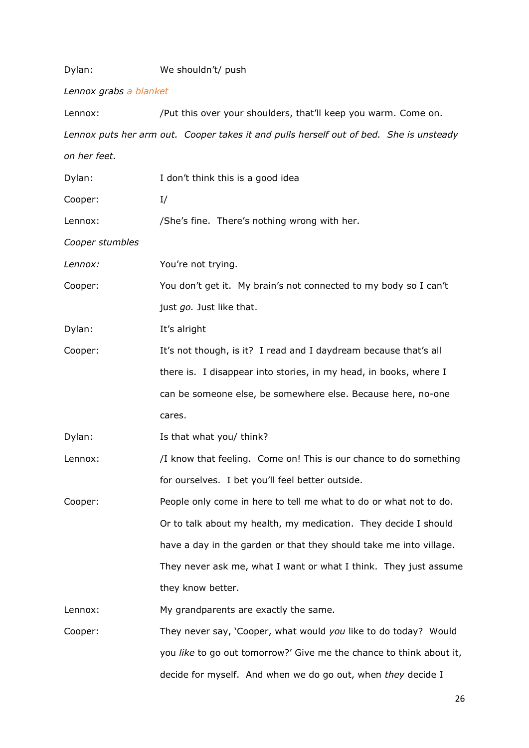| Dylan:                 | We shouldn't/ push                                                                     |
|------------------------|----------------------------------------------------------------------------------------|
| Lennox grabs a blanket |                                                                                        |
| Lennox:                | /Put this over your shoulders, that'll keep you warm. Come on.                         |
|                        | Lennox puts her arm out. Cooper takes it and pulls herself out of bed. She is unsteady |
| on her feet.           |                                                                                        |
| Dylan:                 | I don't think this is a good idea                                                      |
| Cooper:                | I/                                                                                     |
| Lennox:                | /She's fine. There's nothing wrong with her.                                           |
| Cooper stumbles        |                                                                                        |
| Lennox:                | You're not trying.                                                                     |
| Cooper:                | You don't get it. My brain's not connected to my body so I can't                       |
|                        | just go. Just like that.                                                               |
| Dylan:                 | It's alright                                                                           |
| Cooper:                | It's not though, is it? I read and I daydream because that's all                       |
|                        | there is. I disappear into stories, in my head, in books, where I                      |
|                        | can be someone else, be somewhere else. Because here, no-one                           |
|                        | cares.                                                                                 |
| Dylan:                 | Is that what you/ think?                                                               |
| Lennox:                | /I know that feeling. Come on! This is our chance to do something                      |
|                        | for ourselves. I bet you'll feel better outside.                                       |
| Cooper:                | People only come in here to tell me what to do or what not to do.                      |
|                        | Or to talk about my health, my medication. They decide I should                        |
|                        | have a day in the garden or that they should take me into village.                     |
|                        | They never ask me, what I want or what I think. They just assume                       |
|                        | they know better.                                                                      |
| Lennox:                | My grandparents are exactly the same.                                                  |
| Cooper:                | They never say, 'Cooper, what would you like to do today? Would                        |
|                        | you like to go out tomorrow?' Give me the chance to think about it,                    |
|                        | decide for myself. And when we do go out, when they decide I                           |

26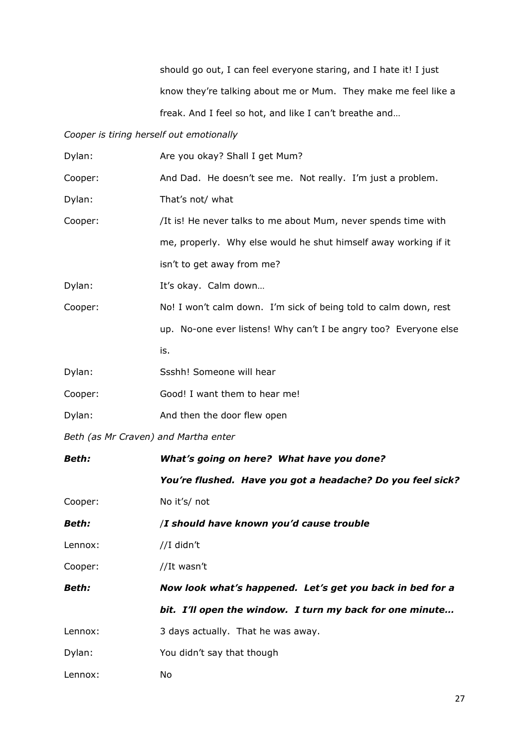should go out, I can feel everyone staring, and I hate it! I just know they're talking about me or Mum. They make me feel like a freak. And I feel so hot, and like I can't breathe and…

### *Cooper is tiring herself out emotionally*

| Dylan:                               | Are you okay? Shall I get Mum?                                   |
|--------------------------------------|------------------------------------------------------------------|
| Cooper:                              | And Dad. He doesn't see me. Not really. I'm just a problem.      |
| Dylan:                               | That's not/ what                                                 |
| Cooper:                              | /It is! He never talks to me about Mum, never spends time with   |
|                                      | me, properly. Why else would he shut himself away working if it  |
|                                      | isn't to get away from me?                                       |
| Dylan:                               | It's okay. Calm down                                             |
| Cooper:                              | No! I won't calm down. I'm sick of being told to calm down, rest |
|                                      | up. No-one ever listens! Why can't I be angry too? Everyone else |
|                                      | is.                                                              |
| Dylan:                               | Ssshh! Someone will hear                                         |
| Cooper:                              | Good! I want them to hear me!                                    |
| Dylan:                               | And then the door flew open                                      |
| Beth (as Mr Craven) and Martha enter |                                                                  |
| <b>Beth:</b>                         | What's going on here? What have you done?                        |
|                                      | You're flushed. Have you got a headache? Do you feel sick?       |
| Cooper:                              | No it's/ not                                                     |
| <b>Beth:</b>                         | /I should have known you'd cause trouble                         |
| Lennox:                              | //I didn't                                                       |
| Cooper:                              | //It wasn't                                                      |
| Beth:                                | Now look what's happened. Let's get you back in bed for a        |
|                                      | bit. I'll open the window. I turn my back for one minute         |
| Lennox:                              | 3 days actually. That he was away.                               |
| Dylan:                               | You didn't say that though                                       |
| Lennox:                              | No                                                               |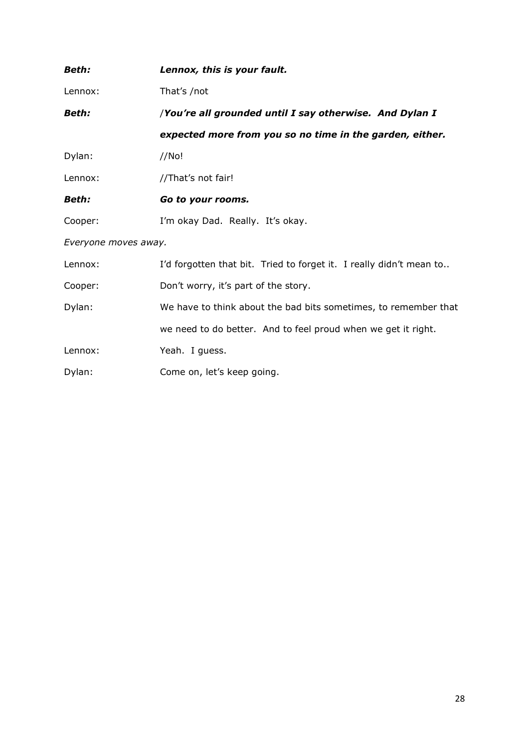| <b>Beth:</b>         | Lennox, this is your fault.                                         |
|----------------------|---------------------------------------------------------------------|
| Lennox:              | That's /not                                                         |
| <b>Beth:</b>         | /You're all grounded until I say otherwise. And Dylan I             |
|                      | expected more from you so no time in the garden, either.            |
| Dylan:               | //No!                                                               |
| Lennox:              | //That's not fair!                                                  |
| <b>Beth:</b>         | Go to your rooms.                                                   |
| Cooper:              | I'm okay Dad. Really. It's okay.                                    |
| Everyone moves away. |                                                                     |
| Lennox:              | I'd forgotten that bit. Tried to forget it. I really didn't mean to |
| Cooper:              | Don't worry, it's part of the story.                                |
| Dylan:               | We have to think about the bad bits sometimes, to remember that     |
|                      | we need to do better. And to feel proud when we get it right.       |
| Lennox:              | Yeah. I guess.                                                      |
| Dylan:               | Come on, let's keep going.                                          |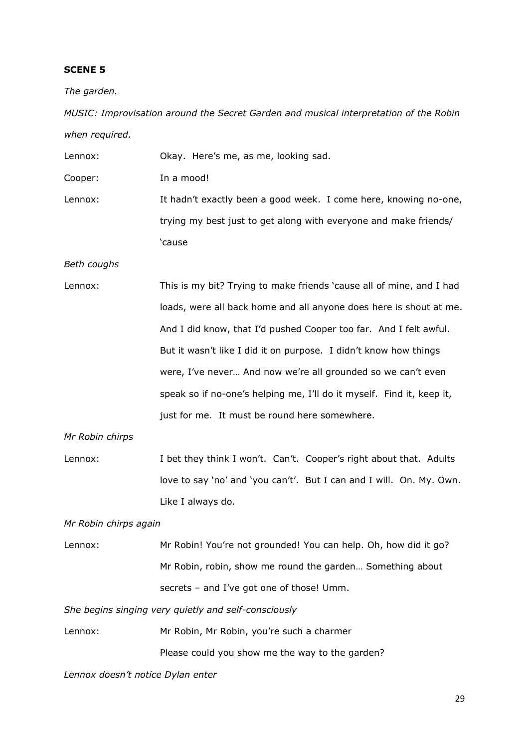*The garden.*

*MUSIC: Improvisation around the Secret Garden and musical interpretation of the Robin when required.*

Lennox: Okay. Here's me, as me, looking sad. Cooper: In a mood! Lennox: It hadn't exactly been a good week. I come here, knowing no-one, trying my best just to get along with everyone and make friends/ 'cause

*Beth coughs*

Lennox: This is my bit? Trying to make friends 'cause all of mine, and I had loads, were all back home and all anyone does here is shout at me. And I did know, that I'd pushed Cooper too far. And I felt awful. But it wasn't like I did it on purpose. I didn't know how things were, I've never… And now we're all grounded so we can't even speak so if no-one's helping me, I'll do it myself. Find it, keep it, just for me. It must be round here somewhere.

*Mr Robin chirps*

Lennox: I bet they think I won't. Can't. Cooper's right about that. Adults love to say 'no' and 'you can't'. But I can and I will. On. My. Own. Like I always do.

*Mr Robin chirps again*

Lennox: Mr Robin! You're not grounded! You can help. Oh, how did it go? Mr Robin, robin, show me round the garden… Something about secrets – and I've got one of those! Umm.

*She begins singing very quietly and self-consciously*

Lennox: Mr Robin, Mr Robin, you're such a charmer Please could you show me the way to the garden?

*Lennox doesn't notice Dylan enter*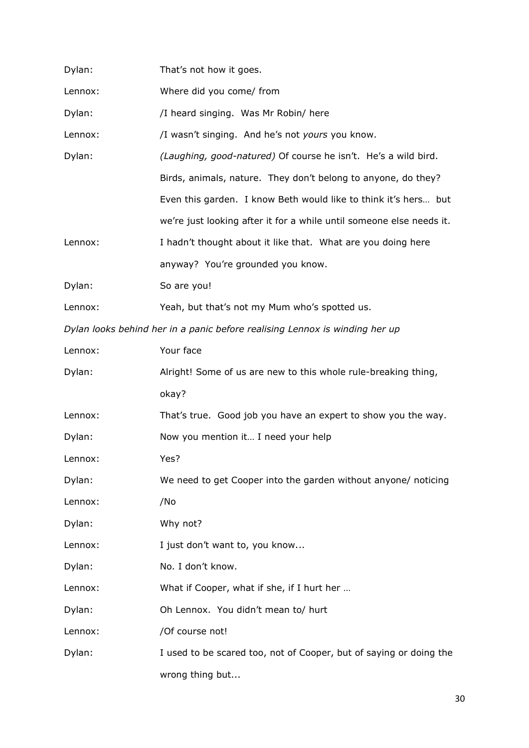| Dylan:  | That's not how it goes.                                                     |
|---------|-----------------------------------------------------------------------------|
| Lennox: | Where did you come/ from                                                    |
| Dylan:  | /I heard singing. Was Mr Robin/ here                                        |
| Lennox: | /I wasn't singing. And he's not yours you know.                             |
| Dylan:  | (Laughing, good-natured) Of course he isn't. He's a wild bird.              |
|         | Birds, animals, nature. They don't belong to anyone, do they?               |
|         | Even this garden. I know Beth would like to think it's hers but             |
|         | we're just looking after it for a while until someone else needs it.        |
| Lennox: | I hadn't thought about it like that. What are you doing here                |
|         | anyway? You're grounded you know.                                           |
| Dylan:  | So are you!                                                                 |
| Lennox: | Yeah, but that's not my Mum who's spotted us.                               |
|         | Dylan looks behind her in a panic before realising Lennox is winding her up |
| Lennox: | Your face                                                                   |
| Dylan:  | Alright! Some of us are new to this whole rule-breaking thing,              |
|         | okay?                                                                       |
| Lennox: | That's true. Good job you have an expert to show you the way.               |
| Dylan:  | Now you mention it I need your help                                         |
| Lennox: | Yes?                                                                        |
| Dylan:  | We need to get Cooper into the garden without anyone/ noticing              |
| Lennox: | /No                                                                         |
| Dylan:  | Why not?                                                                    |
| Lennox: | I just don't want to, you know                                              |
| Dylan:  | No. I don't know.                                                           |
| Lennox: | What if Cooper, what if she, if I hurt her                                  |
| Dylan:  | Oh Lennox. You didn't mean to/ hurt                                         |
| Lennox: | /Of course not!                                                             |
| Dylan:  | I used to be scared too, not of Cooper, but of saying or doing the          |
|         | wrong thing but                                                             |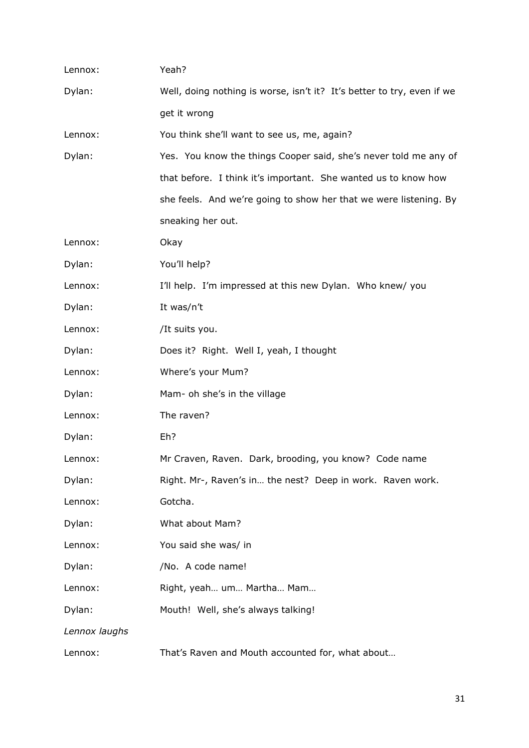| Lennox:       | Yeah?                                                                  |
|---------------|------------------------------------------------------------------------|
| Dylan:        | Well, doing nothing is worse, isn't it? It's better to try, even if we |
|               | get it wrong                                                           |
| Lennox:       | You think she'll want to see us, me, again?                            |
| Dylan:        | Yes. You know the things Cooper said, she's never told me any of       |
|               | that before. I think it's important. She wanted us to know how         |
|               | she feels. And we're going to show her that we were listening. By      |
|               | sneaking her out.                                                      |
| Lennox:       | Okay                                                                   |
| Dylan:        | You'll help?                                                           |
| Lennox:       | I'll help. I'm impressed at this new Dylan. Who knew/ you              |
| Dylan:        | It was/n't                                                             |
| Lennox:       | /It suits you.                                                         |
| Dylan:        | Does it? Right. Well I, yeah, I thought                                |
| Lennox:       | Where's your Mum?                                                      |
| Dylan:        | Mam- oh she's in the village                                           |
| Lennox:       | The raven?                                                             |
| Dylan:        | Eh?                                                                    |
| Lennox:       | Mr Craven, Raven. Dark, brooding, you know? Code name                  |
| Dylan:        | Right. Mr-, Raven's in the nest? Deep in work. Raven work.             |
| Lennox:       | Gotcha.                                                                |
| Dylan:        | What about Mam?                                                        |
| Lennox:       | You said she was/ in                                                   |
| Dylan:        | /No. A code name!                                                      |
| Lennox:       | Right, yeah um Martha Mam                                              |
| Dylan:        | Mouth! Well, she's always talking!                                     |
| Lennox laughs |                                                                        |
| Lennox:       | That's Raven and Mouth accounted for, what about                       |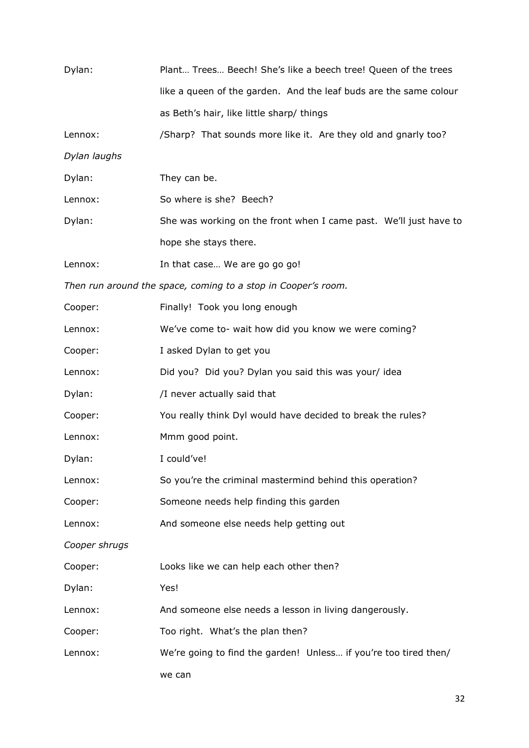| Dylan:        | Plant Trees Beech! She's like a beech tree! Queen of the trees    |
|---------------|-------------------------------------------------------------------|
|               | like a queen of the garden. And the leaf buds are the same colour |
|               | as Beth's hair, like little sharp/ things                         |
| Lennox:       | /Sharp? That sounds more like it. Are they old and gnarly too?    |
| Dylan laughs  |                                                                   |
| Dylan:        | They can be.                                                      |
| Lennox:       | So where is she? Beech?                                           |
| Dylan:        | She was working on the front when I came past. We'll just have to |
|               | hope she stays there.                                             |
| Lennox:       | In that case We are go go go!                                     |
|               | Then run around the space, coming to a stop in Cooper's room.     |
| Cooper:       | Finally! Took you long enough                                     |
| Lennox:       | We've come to- wait how did you know we were coming?              |
| Cooper:       | I asked Dylan to get you                                          |
| Lennox:       | Did you? Did you? Dylan you said this was your/ idea              |
| Dylan:        | /I never actually said that                                       |
| Cooper:       | You really think Dyl would have decided to break the rules?       |
| Lennox:       | Mmm good point.                                                   |
| Dylan:        | I could've!                                                       |
| Lennox:       | So you're the criminal mastermind behind this operation?          |
| Cooper:       | Someone needs help finding this garden                            |
| Lennox:       | And someone else needs help getting out                           |
| Cooper shrugs |                                                                   |
| Cooper:       | Looks like we can help each other then?                           |
| Dylan:        | Yes!                                                              |
| Lennox:       | And someone else needs a lesson in living dangerously.            |
| Cooper:       | Too right. What's the plan then?                                  |
| Lennox:       | We're going to find the garden! Unless if you're too tired then/  |
|               | we can                                                            |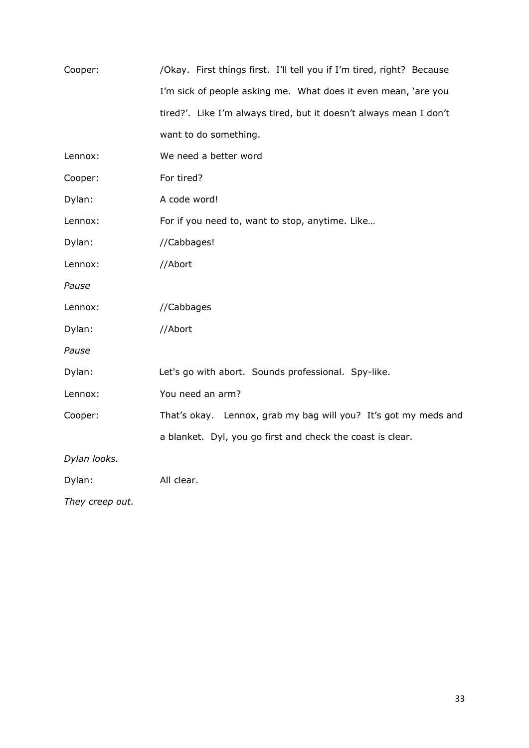| Cooper:         | /Okay. First things first. I'll tell you if I'm tired, right? Because |
|-----------------|-----------------------------------------------------------------------|
|                 | I'm sick of people asking me. What does it even mean, 'are you        |
|                 | tired?'. Like I'm always tired, but it doesn't always mean I don't    |
|                 | want to do something.                                                 |
| Lennox:         | We need a better word                                                 |
| Cooper:         | For tired?                                                            |
| Dylan:          | A code word!                                                          |
| Lennox:         | For if you need to, want to stop, anytime. Like                       |
| Dylan:          | //Cabbages!                                                           |
| Lennox:         | //Abort                                                               |
| Pause           |                                                                       |
| Lennox:         | //Cabbages                                                            |
| Dylan:          | //Abort                                                               |
| Pause           |                                                                       |
| Dylan:          | Let's go with abort. Sounds professional. Spy-like.                   |
| Lennox:         | You need an arm?                                                      |
| Cooper:         | That's okay. Lennox, grab my bag will you? It's got my meds and       |
|                 | a blanket. Dyl, you go first and check the coast is clear.            |
| Dylan looks.    |                                                                       |
| Dylan:          | All clear.                                                            |
| They creep out. |                                                                       |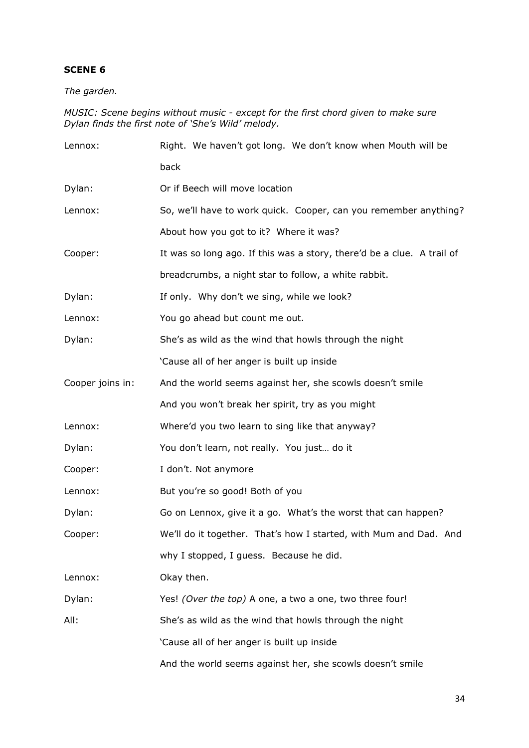*The garden.*

#### *MUSIC: Scene begins without music - except for the first chord given to make sure Dylan finds the first note of 'She's Wild' melody.*

| Lennox:          | Right. We haven't got long. We don't know when Mouth will be           |
|------------------|------------------------------------------------------------------------|
|                  | back                                                                   |
| Dylan:           | Or if Beech will move location                                         |
| Lennox:          | So, we'll have to work quick. Cooper, can you remember anything?       |
|                  | About how you got to it? Where it was?                                 |
| Cooper:          | It was so long ago. If this was a story, there'd be a clue. A trail of |
|                  | breadcrumbs, a night star to follow, a white rabbit.                   |
| Dylan:           | If only. Why don't we sing, while we look?                             |
| Lennox:          | You go ahead but count me out.                                         |
| Dylan:           | She's as wild as the wind that howls through the night                 |
|                  | 'Cause all of her anger is built up inside                             |
| Cooper joins in: | And the world seems against her, she scowls doesn't smile              |
|                  | And you won't break her spirit, try as you might                       |
| Lennox:          | Where'd you two learn to sing like that anyway?                        |
| Dylan:           | You don't learn, not really. You just do it                            |
| Cooper:          | I don't. Not anymore                                                   |
| Lennox:          | But you're so good! Both of you                                        |
| Dylan:           | Go on Lennox, give it a go. What's the worst that can happen?          |
| Cooper:          | We'll do it together. That's how I started, with Mum and Dad. And      |
|                  | why I stopped, I guess. Because he did.                                |
| Lennox:          | Okay then.                                                             |
| Dylan:           | Yes! (Over the top) A one, a two a one, two three four!                |
| All:             | She's as wild as the wind that howls through the night                 |
|                  | 'Cause all of her anger is built up inside                             |
|                  | And the world seems against her, she scowls doesn't smile              |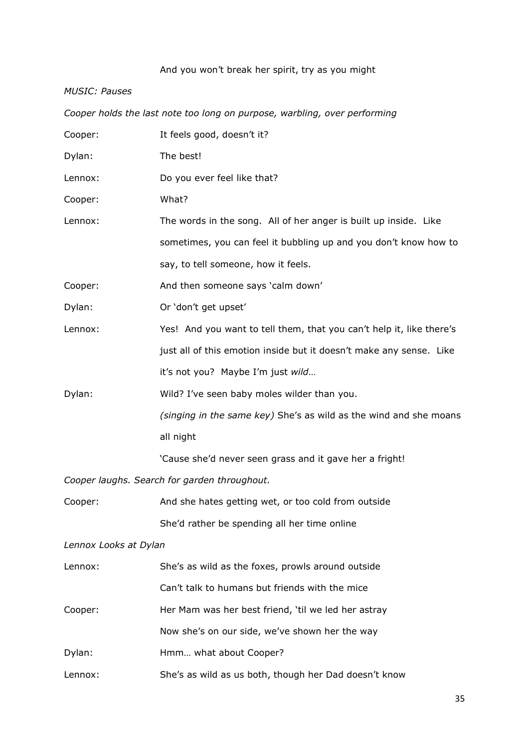# And you won't break her spirit, try as you might

#### *MUSIC: Pauses*

| Cooper holds the last note too long on purpose, warbling, over performing |                                                                      |  |
|---------------------------------------------------------------------------|----------------------------------------------------------------------|--|
| Cooper:                                                                   | It feels good, doesn't it?                                           |  |
| Dylan:                                                                    | The best!                                                            |  |
| Lennox:                                                                   | Do you ever feel like that?                                          |  |
| Cooper:                                                                   | What?                                                                |  |
| Lennox:                                                                   | The words in the song. All of her anger is built up inside. Like     |  |
|                                                                           | sometimes, you can feel it bubbling up and you don't know how to     |  |
|                                                                           | say, to tell someone, how it feels.                                  |  |
| Cooper:                                                                   | And then someone says 'calm down'                                    |  |
| Dylan:                                                                    | Or 'don't get upset'                                                 |  |
| Lennox:                                                                   | Yes! And you want to tell them, that you can't help it, like there's |  |
|                                                                           | just all of this emotion inside but it doesn't make any sense. Like  |  |
|                                                                           | it's not you? Maybe I'm just wild                                    |  |
| Dylan:                                                                    | Wild? I've seen baby moles wilder than you.                          |  |
|                                                                           | (singing in the same key) She's as wild as the wind and she moans    |  |
|                                                                           | all night                                                            |  |
|                                                                           | 'Cause she'd never seen grass and it gave her a fright!              |  |
| Cooper laughs. Search for garden throughout.                              |                                                                      |  |
| Cooper:                                                                   | And she hates getting wet, or too cold from outside                  |  |
|                                                                           | She'd rather be spending all her time online                         |  |
| Lennox Looks at Dylan                                                     |                                                                      |  |
| Lennox:                                                                   | She's as wild as the foxes, prowls around outside                    |  |
|                                                                           | Can't talk to humans but friends with the mice                       |  |
| Cooper:                                                                   | Her Mam was her best friend, 'til we led her astray                  |  |
|                                                                           | Now she's on our side, we've shown her the way                       |  |
| Dylan:                                                                    | Hmm what about Cooper?                                               |  |
| Lennox:                                                                   | She's as wild as us both, though her Dad doesn't know                |  |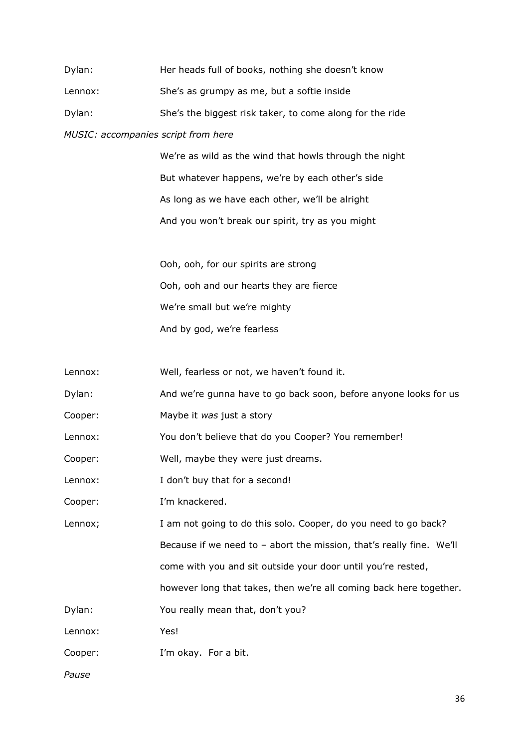| Dylan:  | Her heads full of books, nothing she doesn't know        |
|---------|----------------------------------------------------------|
| Lennox: | She's as grumpy as me, but a softie inside               |
| Dylan:  | She's the biggest risk taker, to come along for the ride |
|         |                                                          |

#### *MUSIC: accompanies script from here*

We're as wild as the wind that howls through the night But whatever happens, we're by each other's side As long as we have each other, we'll be alright And you won't break our spirit, try as you might

Ooh, ooh, for our spirits are strong Ooh, ooh and our hearts they are fierce We're small but we're mighty And by god, we're fearless

| Lennox: | Well, fearless or not, we haven't found it. |
|---------|---------------------------------------------|
|---------|---------------------------------------------|

- Dylan: And we're gunna have to go back soon, before anyone looks for us
- Cooper: Maybe it *was* just a story

Lennox: You don't believe that do you Cooper? You remember!

- Cooper: Well, maybe they were just dreams.
- Lennox: I don't buy that for a second!
- Cooper: I'm knackered.

Lennox; I am not going to do this solo. Cooper, do you need to go back? Because if we need to – abort the mission, that's really fine. We'll come with you and sit outside your door until you're rested, however long that takes, then we're all coming back here together.

Dylan: You really mean that, don't you?

Lennox: Yes!

Cooper: I'm okay. For a bit.

*Pause*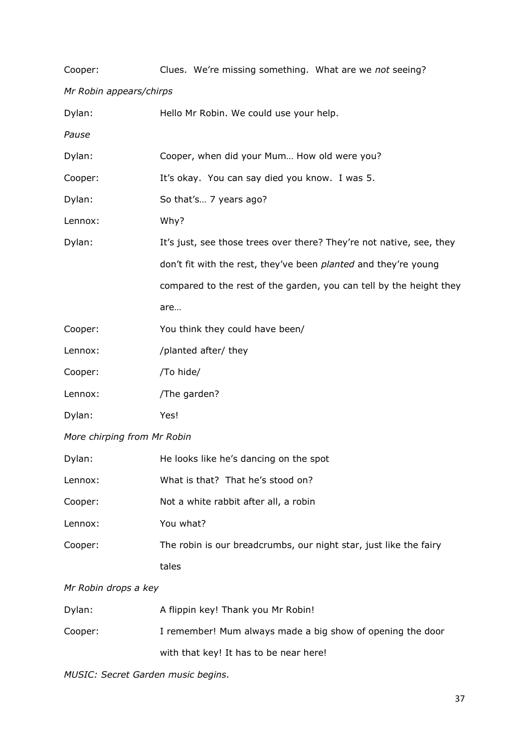| Cooper:                     | Clues. We're missing something. What are we not seeing?                |  |  |
|-----------------------------|------------------------------------------------------------------------|--|--|
|                             | Mr Robin appears/chirps                                                |  |  |
| Dylan:                      | Hello Mr Robin. We could use your help.                                |  |  |
| Pause                       |                                                                        |  |  |
| Dylan:                      | Cooper, when did your Mum How old were you?                            |  |  |
| Cooper:                     | It's okay. You can say died you know. I was 5.                         |  |  |
| Dylan:                      | So that's 7 years ago?                                                 |  |  |
| Lennox:                     | Why?                                                                   |  |  |
| Dylan:                      | It's just, see those trees over there? They're not native, see, they   |  |  |
|                             | don't fit with the rest, they've been <i>planted</i> and they're young |  |  |
|                             | compared to the rest of the garden, you can tell by the height they    |  |  |
|                             | are                                                                    |  |  |
| Cooper:                     | You think they could have been/                                        |  |  |
| Lennox:                     | /planted after/ they                                                   |  |  |
| Cooper:                     | /To hide/                                                              |  |  |
| Lennox:                     | /The garden?                                                           |  |  |
| Dylan:                      | Yes!                                                                   |  |  |
| More chirping from Mr Robin |                                                                        |  |  |
| Dylan:                      | He looks like he's dancing on the spot                                 |  |  |
| Lennox:                     | What is that? That he's stood on?                                      |  |  |
| Cooper:                     | Not a white rabbit after all, a robin                                  |  |  |
| Lennox:                     | You what?                                                              |  |  |
| Cooper:                     | The robin is our breadcrumbs, our night star, just like the fairy      |  |  |
|                             | tales                                                                  |  |  |
|                             |                                                                        |  |  |

# *Mr Robin drops a key*

| Dylan:  | A flippin key! Thank you Mr Robin!                         |
|---------|------------------------------------------------------------|
| Cooper: | I remember! Mum always made a big show of opening the door |
|         | with that key! It has to be near here!                     |

*MUSIC: Secret Garden music begins.*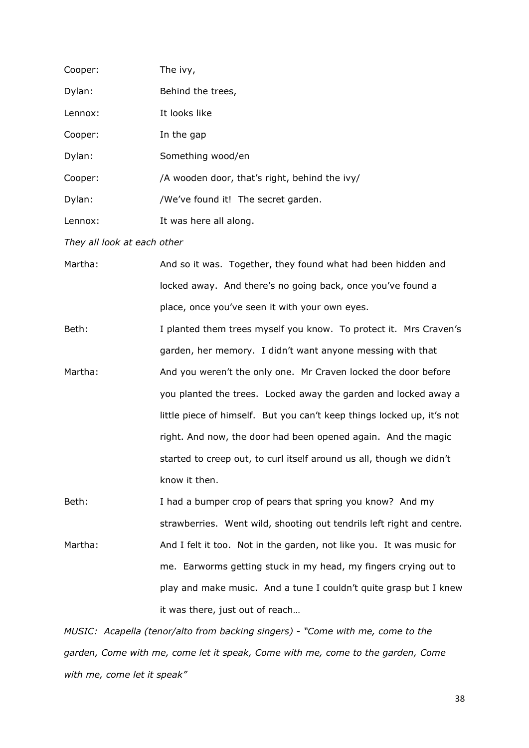| Cooper: | The ivy,                                      |
|---------|-----------------------------------------------|
| Dylan:  | Behind the trees,                             |
| Lennox: | It looks like                                 |
| Cooper: | In the gap                                    |
| Dylan:  | Something wood/en                             |
| Cooper: | /A wooden door, that's right, behind the ivy/ |
| Dylan:  | /We've found it! The secret garden.           |
| Lennox: | It was here all along.                        |

*They all look at each other* 

Martha: And so it was. Together, they found what had been hidden and locked away. And there's no going back, once you've found a place, once you've seen it with your own eyes.

Beth: I planted them trees myself you know. To protect it. Mrs Craven's garden, her memory. I didn't want anyone messing with that Martha: And you weren't the only one. Mr Craven locked the door before you planted the trees. Locked away the garden and locked away a little piece of himself. But you can't keep things locked up, it's not right. And now, the door had been opened again. And the magic started to creep out, to curl itself around us all, though we didn't know it then.

Beth: I had a bumper crop of pears that spring you know? And my strawberries. Went wild, shooting out tendrils left right and centre. Martha: And I felt it too. Not in the garden, not like you. It was music for me. Earworms getting stuck in my head, my fingers crying out to play and make music. And a tune I couldn't quite grasp but I knew it was there, just out of reach…

*MUSIC: Acapella (tenor/alto from backing singers) - "Come with me, come to the garden, Come with me, come let it speak, Come with me, come to the garden, Come with me, come let it speak"*

38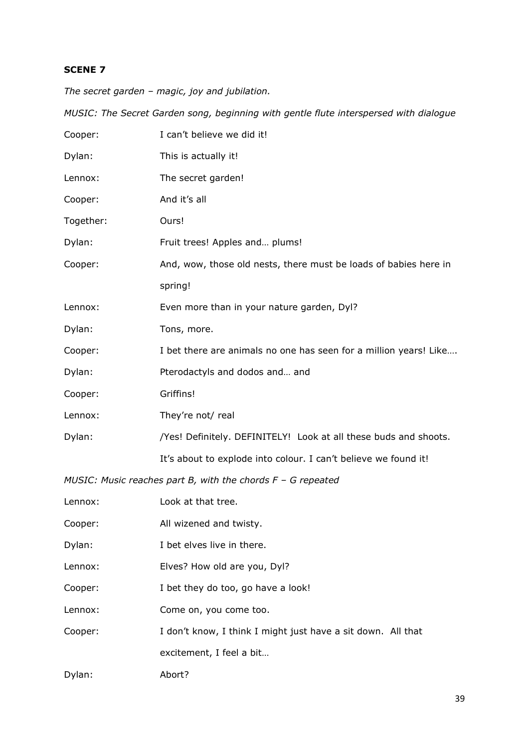*The secret garden – magic, joy and jubilation.* 

*MUSIC: The Secret Garden song, beginning with gentle flute interspersed with dialogue*

| Cooper:   | I can't believe we did it!                                        |
|-----------|-------------------------------------------------------------------|
| Dylan:    | This is actually it!                                              |
| Lennox:   | The secret garden!                                                |
| Cooper:   | And it's all                                                      |
| Together: | Ours!                                                             |
| Dylan:    | Fruit trees! Apples and plums!                                    |
| Cooper:   | And, wow, those old nests, there must be loads of babies here in  |
|           | spring!                                                           |
| Lennox:   | Even more than in your nature garden, Dyl?                        |
| Dylan:    | Tons, more.                                                       |
| Cooper:   | I bet there are animals no one has seen for a million years! Like |
| Dylan:    | Pterodactyls and dodos and and                                    |
| Cooper:   | Griffins!                                                         |
| Lennox:   | They're not/ real                                                 |
| Dylan:    | /Yes! Definitely. DEFINITELY! Look at all these buds and shoots.  |
|           | It's about to explode into colour. I can't believe we found it!   |
|           | MUSIC: Music reaches part B, with the chords $F - G$ repeated     |

| Lennox: | Look at that tree.                                           |
|---------|--------------------------------------------------------------|
| Cooper: | All wizened and twisty.                                      |
| Dylan:  | I bet elves live in there.                                   |
| Lennox: | Elves? How old are you, Dyl?                                 |
| Cooper: | I bet they do too, go have a look!                           |
| Lennox: | Come on, you come too.                                       |
| Cooper: | I don't know, I think I might just have a sit down. All that |
|         | excitement, I feel a bit                                     |
| Dylan:  | Abort?                                                       |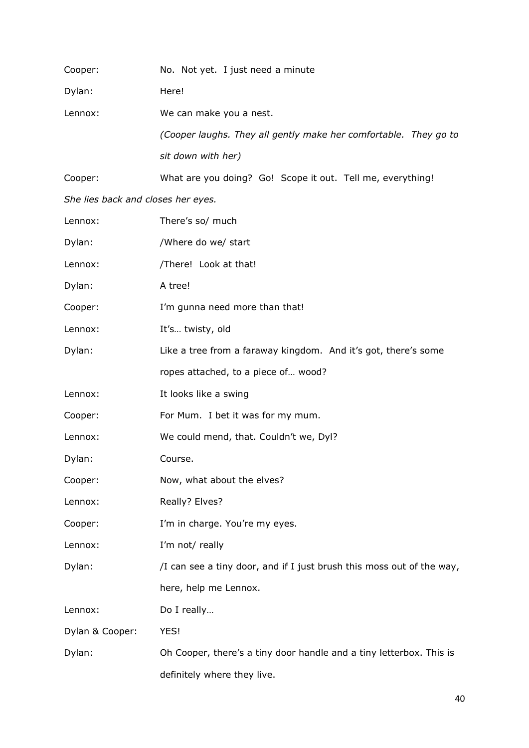| Cooper:                            | No. Not yet. I just need a minute                                     |
|------------------------------------|-----------------------------------------------------------------------|
| Dylan:                             | Here!                                                                 |
| Lennox:                            | We can make you a nest.                                               |
|                                    | (Cooper laughs. They all gently make her comfortable. They go to      |
|                                    | sit down with her)                                                    |
| Cooper:                            | What are you doing? Go! Scope it out. Tell me, everything!            |
| She lies back and closes her eyes. |                                                                       |
| Lennox:                            | There's so/ much                                                      |
| Dylan:                             | /Where do we/ start                                                   |
| Lennox:                            | /There! Look at that!                                                 |
| Dylan:                             | A tree!                                                               |
| Cooper:                            | I'm gunna need more than that!                                        |
| Lennox:                            | It's twisty, old                                                      |
| Dylan:                             | Like a tree from a faraway kingdom. And it's got, there's some        |
|                                    | ropes attached, to a piece of wood?                                   |
| Lennox:                            | It looks like a swing                                                 |
| Cooper:                            | For Mum. I bet it was for my mum.                                     |
| Lennox:                            | We could mend, that. Couldn't we, Dyl?                                |
| Dylan:                             | Course.                                                               |
| Cooper:                            | Now, what about the elves?                                            |
| Lennox:                            | Really? Elves?                                                        |
| Cooper:                            | I'm in charge. You're my eyes.                                        |
| Lennox:                            | I'm not/ really                                                       |
| Dylan:                             | /I can see a tiny door, and if I just brush this moss out of the way, |
|                                    | here, help me Lennox.                                                 |
| Lennox:                            | Do I really                                                           |
| Dylan & Cooper:                    | YES!                                                                  |

Dylan: Oh Cooper, there's a tiny door handle and a tiny letterbox. This is definitely where they live.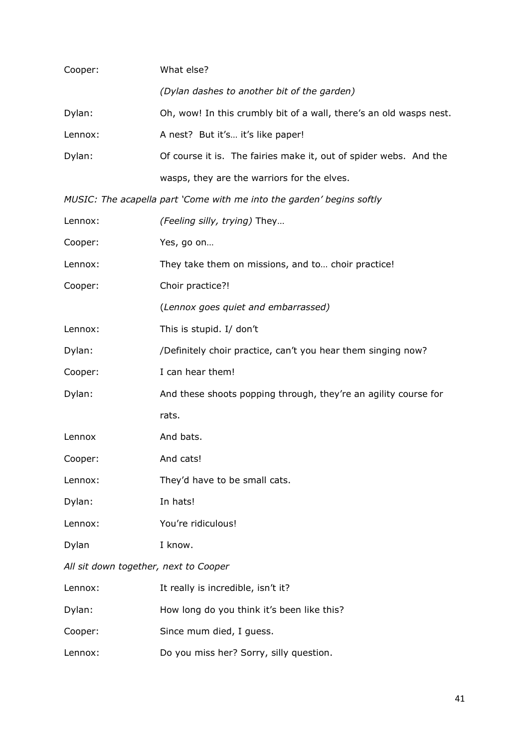| Cooper:                               | What else?                                                            |  |
|---------------------------------------|-----------------------------------------------------------------------|--|
|                                       | (Dylan dashes to another bit of the garden)                           |  |
| Dylan:                                | Oh, wow! In this crumbly bit of a wall, there's an old wasps nest.    |  |
| Lennox:                               | A nest? But it's it's like paper!                                     |  |
| Dylan:                                | Of course it is. The fairies make it, out of spider webs. And the     |  |
|                                       | wasps, they are the warriors for the elves.                           |  |
|                                       | MUSIC: The acapella part 'Come with me into the garden' begins softly |  |
| Lennox:                               | (Feeling silly, trying) They                                          |  |
| Cooper:                               | Yes, go on                                                            |  |
| Lennox:                               | They take them on missions, and to choir practice!                    |  |
| Cooper:                               | Choir practice?!                                                      |  |
|                                       | (Lennox goes quiet and embarrassed)                                   |  |
| Lennox:                               | This is stupid. I/ don't                                              |  |
| Dylan:                                | /Definitely choir practice, can't you hear them singing now?          |  |
| Cooper:                               | I can hear them!                                                      |  |
| Dylan:                                | And these shoots popping through, they're an agility course for       |  |
|                                       | rats.                                                                 |  |
| Lennox                                | And bats.                                                             |  |
| Cooper:                               | And cats!                                                             |  |
| Lennox:                               | They'd have to be small cats.                                         |  |
| Dylan:                                | In hats!                                                              |  |
| Lennox:                               | You're ridiculous!                                                    |  |
| Dylan                                 | I know.                                                               |  |
| All sit down together, next to Cooper |                                                                       |  |
| Lennox:                               | It really is incredible, isn't it?                                    |  |
| Dylan:                                | How long do you think it's been like this?                            |  |
| Cooper:                               | Since mum died, I guess.                                              |  |
| Lennox:                               | Do you miss her? Sorry, silly question.                               |  |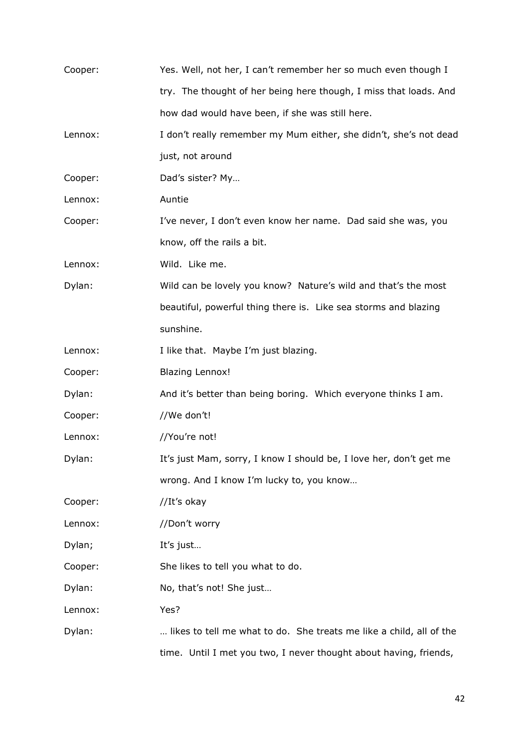| Cooper: | Yes. Well, not her, I can't remember her so much even though I      |
|---------|---------------------------------------------------------------------|
|         | try. The thought of her being here though, I miss that loads. And   |
|         | how dad would have been, if she was still here.                     |
| Lennox: | I don't really remember my Mum either, she didn't, she's not dead   |
|         | just, not around                                                    |
| Cooper: | Dad's sister? My                                                    |
| Lennox: | Auntie                                                              |
| Cooper: | I've never, I don't even know her name. Dad said she was, you       |
|         | know, off the rails a bit.                                          |
| Lennox: | Wild. Like me.                                                      |
| Dylan:  | Wild can be lovely you know? Nature's wild and that's the most      |
|         | beautiful, powerful thing there is. Like sea storms and blazing     |
|         | sunshine.                                                           |
| Lennox: | I like that. Maybe I'm just blazing.                                |
| Cooper: | <b>Blazing Lennox!</b>                                              |
| Dylan:  | And it's better than being boring. Which everyone thinks I am.      |
| Cooper: | //We don't!                                                         |
| Lennox: | //You're not!                                                       |
| Dylan:  | It's just Mam, sorry, I know I should be, I love her, don't get me  |
|         | wrong. And I know I'm lucky to, you know                            |
| Cooper: | //It's okay                                                         |
| Lennox: | //Don't worry                                                       |
| Dylan;  | It's just                                                           |
| Cooper: | She likes to tell you what to do.                                   |
| Dylan:  | No, that's not! She just                                            |
| Lennox: | Yes?                                                                |
| Dylan:  | likes to tell me what to do. She treats me like a child, all of the |
|         | time. Until I met you two, I never thought about having, friends,   |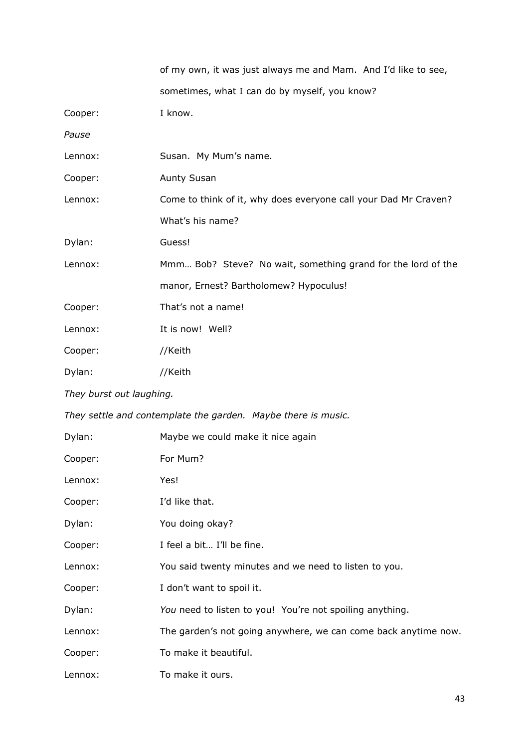|                          | of my own, it was just always me and Mam. And I'd like to see,  |
|--------------------------|-----------------------------------------------------------------|
|                          | sometimes, what I can do by myself, you know?                   |
| Cooper:                  | I know.                                                         |
| Pause                    |                                                                 |
| Lennox:                  | Susan. My Mum's name.                                           |
| Cooper:                  | <b>Aunty Susan</b>                                              |
| Lennox:                  | Come to think of it, why does everyone call your Dad Mr Craven? |
|                          | What's his name?                                                |
| Dylan:                   | Guess!                                                          |
| Lennox:                  | Mmm Bob? Steve? No wait, something grand for the lord of the    |
|                          | manor, Ernest? Bartholomew? Hypoculus!                          |
| Cooper:                  | That's not a name!                                              |
| Lennox:                  | It is now! Well?                                                |
| Cooper:                  | //Keith                                                         |
| Dylan:                   | //Keith                                                         |
| They burst out laughing. |                                                                 |
|                          | They settle and contemplate the garden. Maybe there is music.   |
| Dylan:                   | Maybe we could make it nice again                               |
| Cooper:                  | For Mum?                                                        |
| Lennox:                  | Yes!                                                            |
| Cooper:                  | I'd like that.                                                  |
| Dylan:                   | You doing okay?                                                 |
| Cooper:                  | I feel a bit I'll be fine.                                      |
| Lennox:                  | You said twenty minutes and we need to listen to you.           |
| Cooper:                  | I don't want to spoil it.                                       |
| Dylan:                   | You need to listen to you! You're not spoiling anything.        |
| Lennox:                  | The garden's not going anywhere, we can come back anytime now.  |
| Cooper:                  | To make it beautiful.                                           |
| Lennox:                  | To make it ours.                                                |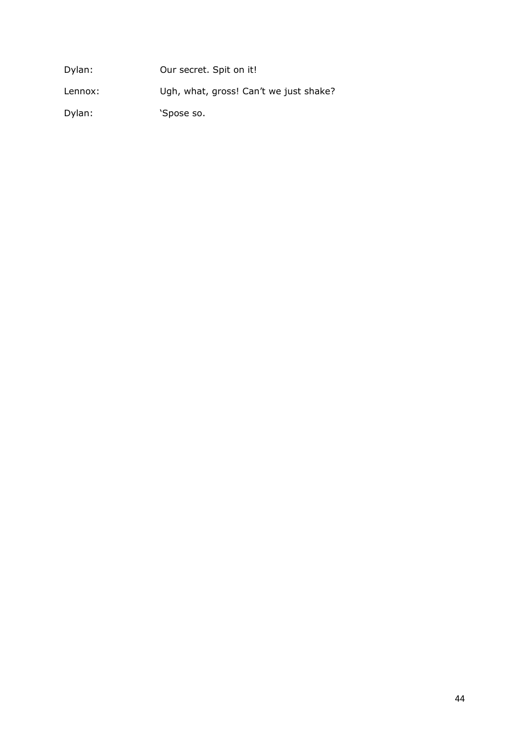| Dylan:  | Our secret. Spit on it!                |
|---------|----------------------------------------|
| Lennox: | Ugh, what, gross! Can't we just shake? |
| Dylan:  | 'Spose so.                             |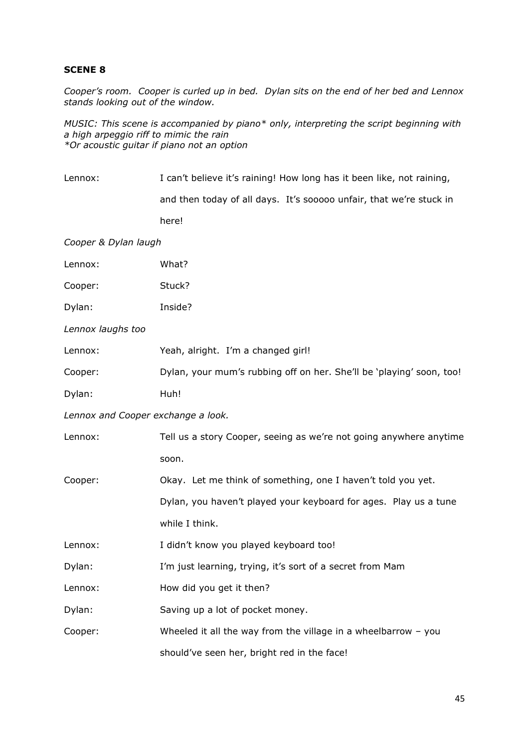*Cooper's room. Cooper is curled up in bed. Dylan sits on the end of her bed and Lennox stands looking out of the window.*

*MUSIC: This scene is accompanied by piano\* only, interpreting the script beginning with a high arpeggio riff to mimic the rain \*Or acoustic guitar if piano not an option*

| Lennox:                            | I can't believe it's raining! How long has it been like, not raining, |
|------------------------------------|-----------------------------------------------------------------------|
|                                    | and then today of all days. It's sooooo unfair, that we're stuck in   |
|                                    | here!                                                                 |
| Cooper & Dylan laugh               |                                                                       |
| Lennox:                            | What?                                                                 |
| Cooper:                            | Stuck?                                                                |
| Dylan:                             | Inside?                                                               |
| Lennox laughs too                  |                                                                       |
| Lennox:                            | Yeah, alright. I'm a changed girl!                                    |
| Cooper:                            | Dylan, your mum's rubbing off on her. She'll be 'playing' soon, too!  |
| Dylan:                             | Huh!                                                                  |
| Lennox and Cooper exchange a look. |                                                                       |
| Lennox:                            | Tell us a story Cooper, seeing as we're not going anywhere anytime    |
|                                    | soon.                                                                 |
| Cooper:                            | Okay. Let me think of something, one I haven't told you yet.          |
|                                    | Dylan, you haven't played your keyboard for ages. Play us a tune      |
|                                    | while I think.                                                        |
| Lennox:                            | I didn't know you played keyboard too!                                |
| Dylan:                             | I'm just learning, trying, it's sort of a secret from Mam             |
| Lennox:                            | How did you get it then?                                              |
| Dylan:                             | Saving up a lot of pocket money.                                      |
| Cooper:                            | Wheeled it all the way from the village in a wheelbarrow $-$ you      |
|                                    | should've seen her, bright red in the face!                           |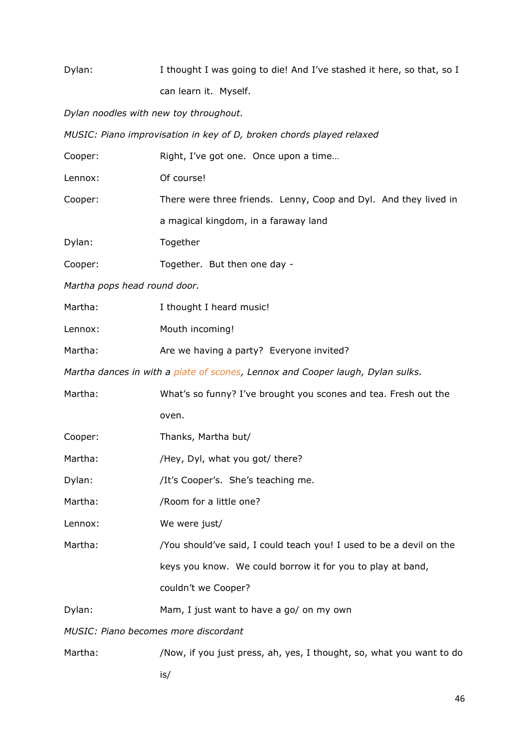| Dylan:                                                               | I thought I was going to die! And I've stashed it here, so that, so I          |  |
|----------------------------------------------------------------------|--------------------------------------------------------------------------------|--|
|                                                                      | can learn it. Myself.                                                          |  |
| Dylan noodles with new toy throughout.                               |                                                                                |  |
| MUSIC: Piano improvisation in key of D, broken chords played relaxed |                                                                                |  |
| Cooper:                                                              | Right, I've got one. Once upon a time                                          |  |
| Lennox:                                                              | Of course!                                                                     |  |
| Cooper:                                                              | There were three friends. Lenny, Coop and Dyl. And they lived in               |  |
|                                                                      | a magical kingdom, in a faraway land                                           |  |
| Dylan:                                                               | Together                                                                       |  |
| Cooper:                                                              | Together. But then one day -                                                   |  |
| Martha pops head round door.                                         |                                                                                |  |
| Martha:                                                              | I thought I heard music!                                                       |  |
| Lennox:                                                              | Mouth incoming!                                                                |  |
| Martha:                                                              | Are we having a party? Everyone invited?                                       |  |
|                                                                      | Martha dances in with a plate of scones, Lennox and Cooper laugh, Dylan sulks. |  |
| Martha:                                                              | What's so funny? I've brought you scones and tea. Fresh out the                |  |
|                                                                      | oven.                                                                          |  |
| Cooper:                                                              | Thanks, Martha but/                                                            |  |
| Martha:                                                              | /Hey, Dyl, what you got/ there?                                                |  |
| Dylan:                                                               | /It's Cooper's. She's teaching me.                                             |  |
| Martha:                                                              | /Room for a little one?                                                        |  |
| Lennox:                                                              | We were just/                                                                  |  |
| Martha:                                                              | /You should've said, I could teach you! I used to be a devil on the            |  |
|                                                                      | keys you know. We could borrow it for you to play at band,                     |  |
|                                                                      | couldn't we Cooper?                                                            |  |
| Dylan:                                                               | Mam, I just want to have a go/ on my own                                       |  |
| MUSIC: Piano becomes more discordant                                 |                                                                                |  |
| Martha:                                                              | /Now, if you just press, ah, yes, I thought, so, what you want to do           |  |

is/

46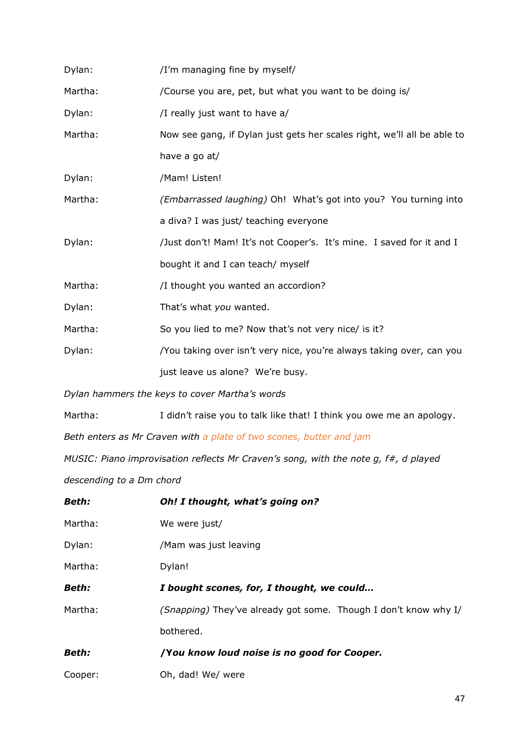| Dylan:  | /I'm managing fine by myself/                                           |
|---------|-------------------------------------------------------------------------|
| Martha: | /Course you are, pet, but what you want to be doing is/                 |
| Dylan:  | /I really just want to have a/                                          |
| Martha: | Now see gang, if Dylan just gets her scales right, we'll all be able to |
|         | have a go at/                                                           |
| Dylan:  | /Mam! Listen!                                                           |
| Martha: | (Embarrassed laughing) Oh! What's got into you? You turning into        |
|         | a diva? I was just/ teaching everyone                                   |
| Dylan:  | /Just don't! Mam! It's not Cooper's. It's mine. I saved for it and I    |
|         | bought it and I can teach/ myself                                       |
| Martha: | /I thought you wanted an accordion?                                     |
| Dylan:  | That's what you wanted.                                                 |
| Martha: | So you lied to me? Now that's not very nice/ is it?                     |
| Dylan:  | /You taking over isn't very nice, you're always taking over, can you    |
|         | just leave us alone? We're busy.                                        |
|         |                                                                         |

*Dylan hammers the keys to cover Martha's words*

Martha: I didn't raise you to talk like that! I think you owe me an apology.

*Beth enters as Mr Craven with a plate of two scones, butter and jam*

*MUSIC: Piano improvisation reflects Mr Craven's song, with the note g, f#, d played* 

*descending to a Dm chord*

| <b>Beth:</b> | Oh! I thought, what's going on?                                 |
|--------------|-----------------------------------------------------------------|
| Martha:      | We were just/                                                   |
| Dylan:       | /Mam was just leaving                                           |
| Martha:      | Dylan!                                                          |
| <b>Beth:</b> | I bought scones, for, I thought, we could                       |
| Martha:      | (Snapping) They've already got some. Though I don't know why I/ |
|              | bothered.                                                       |
| <b>Beth:</b> | /You know loud noise is no good for Cooper.                     |
| Cooper:      | Oh, dad! We/ were                                               |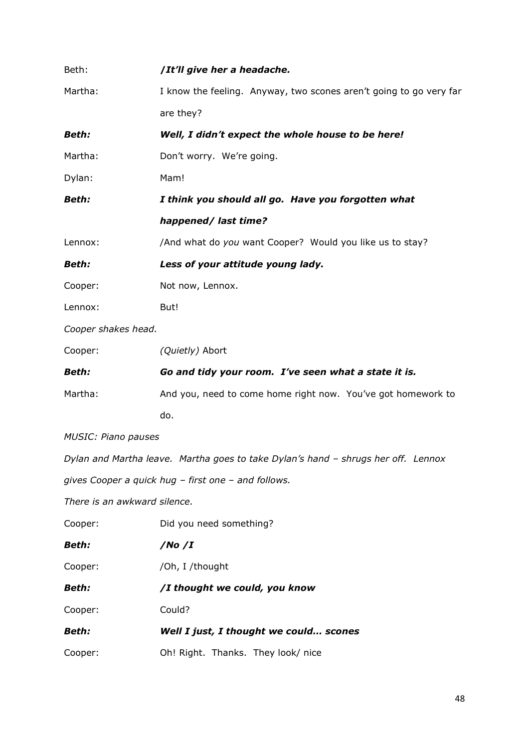| Beth:                        | /It'll give her a headache.                                                       |
|------------------------------|-----------------------------------------------------------------------------------|
| Martha:                      | I know the feeling. Anyway, two scones aren't going to go very far                |
|                              | are they?                                                                         |
| <b>Beth:</b>                 | Well, I didn't expect the whole house to be here!                                 |
| Martha:                      | Don't worry. We're going.                                                         |
| Dylan:                       | Mam!                                                                              |
| <b>Beth:</b>                 | I think you should all go. Have you forgotten what                                |
|                              | happened/ last time?                                                              |
| Lennox:                      | /And what do you want Cooper? Would you like us to stay?                          |
| <b>Beth:</b>                 | Less of your attitude young lady.                                                 |
| Cooper:                      | Not now, Lennox.                                                                  |
| Lennox:                      | But!                                                                              |
| Cooper shakes head.          |                                                                                   |
| Cooper:                      | (Quietly) Abort                                                                   |
|                              |                                                                                   |
| <b>Beth:</b>                 | Go and tidy your room. I've seen what a state it is.                              |
| Martha:                      | And you, need to come home right now. You've got homework to                      |
|                              | do.                                                                               |
| <b>MUSIC: Piano pauses</b>   |                                                                                   |
|                              | Dylan and Martha leave. Martha goes to take Dylan's hand - shrugs her off. Lennox |
|                              | gives Cooper a quick hug - first one - and follows.                               |
| There is an awkward silence. |                                                                                   |
| Cooper:                      | Did you need something?                                                           |
| <b>Beth:</b>                 | /No $/I$                                                                          |
| Cooper:                      | /Oh, I /thought                                                                   |
| <b>Beth:</b>                 | /I thought we could, you know                                                     |
| Cooper:                      | Could?                                                                            |
| <b>Beth:</b>                 | Well I just, I thought we could scones                                            |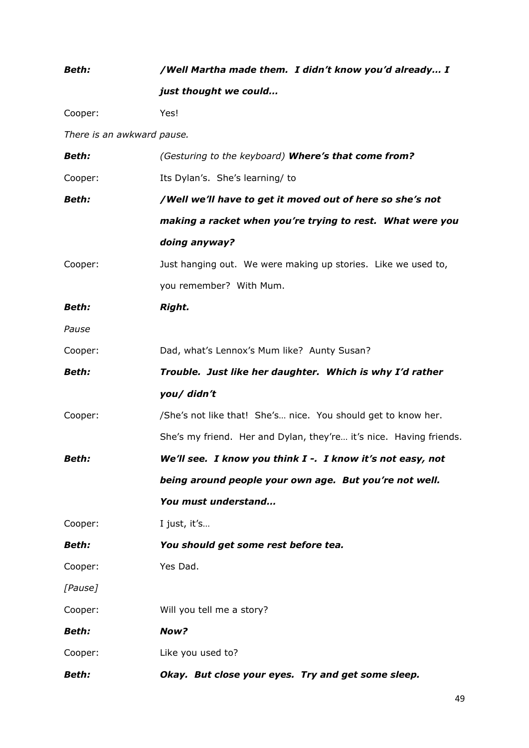# *Beth: /Well Martha made them. I didn't know you'd already… I just thought we could…*  Cooper: Yes! *There is an awkward pause. Beth: (Gesturing to the keyboard) Where's that come from?* Cooper: Its Dylan's. She's learning/ to *Beth: /Well we'll have to get it moved out of here so she's not making a racket when you're trying to rest. What were you doing anyway?* Cooper: Just hanging out. We were making up stories. Like we used to, you remember? With Mum. *Beth: Right. Pause* Cooper: Dad, what's Lennox's Mum like? Aunty Susan? *Beth: Trouble. Just like her daughter. Which is why I'd rather you/ didn't* Cooper: /She's not like that! She's… nice. You should get to know her. She's my friend. Her and Dylan, they're… it's nice. Having friends. *Beth: We'll see. I know you think I -. I know it's not easy, not being around people your own age. But you're not well. You must understand…* Cooper: I just, it's… *Beth: You should get some rest before tea.* Cooper: Yes Dad. *[Pause]* Cooper: Will you tell me a story? *Beth: Now?*  Cooper: Like you used to? *Beth: Okay. But close your eyes. Try and get some sleep.*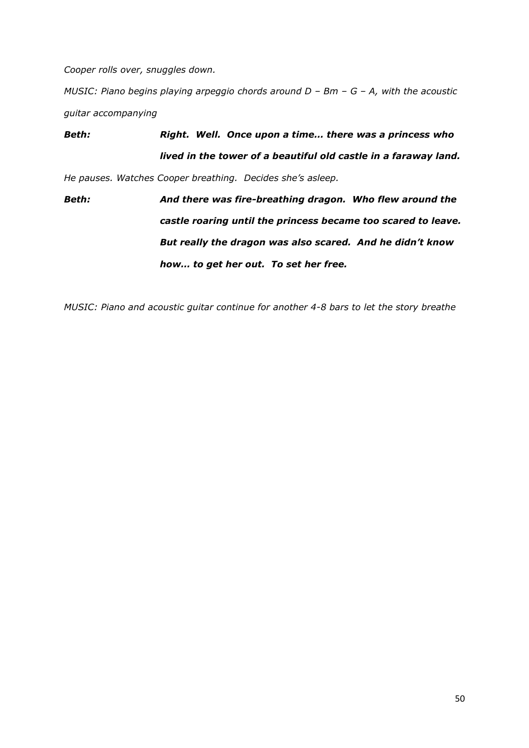*Cooper rolls over, snuggles down.*

*MUSIC: Piano begins playing arpeggio chords around D - Bm - G - A, with the acoustic guitar accompanying*

*Beth: Right. Well. Once upon a time… there was a princess who lived in the tower of a beautiful old castle in a faraway land. He pauses. Watches Cooper breathing. Decides she's asleep.*

*Beth: And there was fire-breathing dragon. Who flew around the castle roaring until the princess became too scared to leave. But really the dragon was also scared. And he didn't know how… to get her out. To set her free.*

*MUSIC: Piano and acoustic guitar continue for another 4-8 bars to let the story breathe*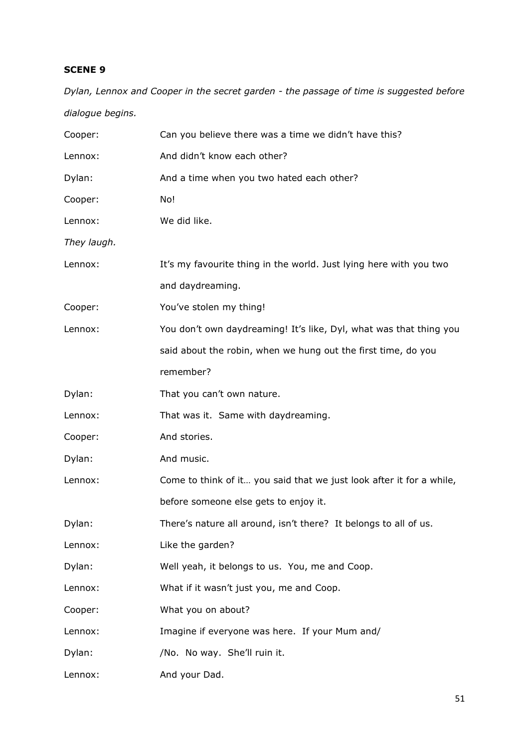*Dylan, Lennox and Cooper in the secret garden - the passage of time is suggested before dialogue begins.*

| Cooper:     | Can you believe there was a time we didn't have this?                |
|-------------|----------------------------------------------------------------------|
| Lennox:     | And didn't know each other?                                          |
| Dylan:      | And a time when you two hated each other?                            |
| Cooper:     | No!                                                                  |
| Lennox:     | We did like.                                                         |
| They laugh. |                                                                      |
| Lennox:     | It's my favourite thing in the world. Just lying here with you two   |
|             | and daydreaming.                                                     |
| Cooper:     | You've stolen my thing!                                              |
| Lennox:     | You don't own daydreaming! It's like, Dyl, what was that thing you   |
|             | said about the robin, when we hung out the first time, do you        |
|             | remember?                                                            |
| Dylan:      | That you can't own nature.                                           |
| Lennox:     | That was it. Same with daydreaming.                                  |
| Cooper:     | And stories.                                                         |
| Dylan:      | And music.                                                           |
| Lennox:     | Come to think of it you said that we just look after it for a while, |
|             | before someone else gets to enjoy it.                                |
| Dylan:      | There's nature all around, isn't there? It belongs to all of us.     |
| Lennox:     | Like the garden?                                                     |
| Dylan:      | Well yeah, it belongs to us. You, me and Coop.                       |
| Lennox:     | What if it wasn't just you, me and Coop.                             |
| Cooper:     | What you on about?                                                   |
| Lennox:     | Imagine if everyone was here. If your Mum and/                       |
| Dylan:      | /No. No way. She'll ruin it.                                         |
| Lennox:     | And your Dad.                                                        |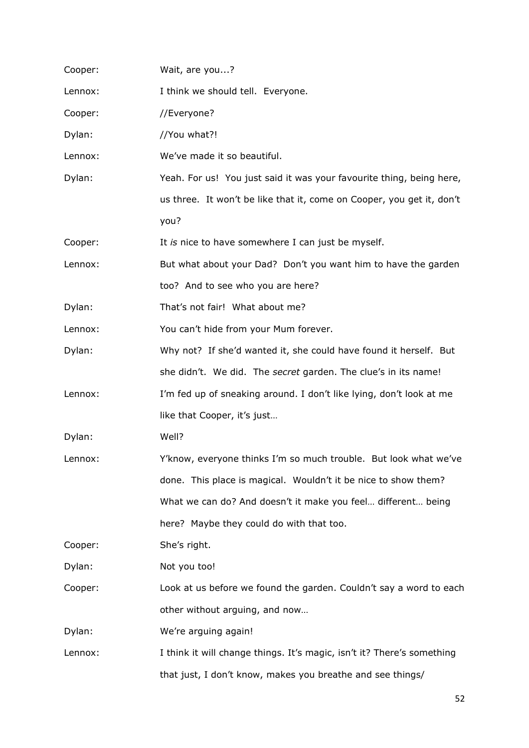| Cooper: | Wait, are you?                                                         |
|---------|------------------------------------------------------------------------|
| Lennox: | I think we should tell. Everyone.                                      |
| Cooper: | //Everyone?                                                            |
| Dylan:  | //You what?!                                                           |
| Lennox: | We've made it so beautiful.                                            |
| Dylan:  | Yeah. For us! You just said it was your favourite thing, being here,   |
|         | us three. It won't be like that it, come on Cooper, you get it, don't  |
|         | you?                                                                   |
| Cooper: | It is nice to have somewhere I can just be myself.                     |
| Lennox: | But what about your Dad? Don't you want him to have the garden         |
|         | too? And to see who you are here?                                      |
| Dylan:  | That's not fair! What about me?                                        |
| Lennox: | You can't hide from your Mum forever.                                  |
| Dylan:  | Why not? If she'd wanted it, she could have found it herself. But      |
|         | she didn't. We did. The secret garden. The clue's in its name!         |
| Lennox: | I'm fed up of sneaking around. I don't like lying, don't look at me    |
|         | like that Cooper, it's just                                            |
| Dylan:  | Well?                                                                  |
| Lennox: | Y'know, everyone thinks I'm so much trouble. But look what we've       |
|         | done. This place is magical. Wouldn't it be nice to show them?         |
|         | What we can do? And doesn't it make you feel different being           |
|         | here? Maybe they could do with that too.                               |
| Cooper: | She's right.                                                           |
| Dylan:  | Not you too!                                                           |
| Cooper: | Look at us before we found the garden. Couldn't say a word to each     |
|         | other without arguing, and now                                         |
| Dylan:  | We're arguing again!                                                   |
| Lennox: | I think it will change things. It's magic, isn't it? There's something |
|         | that just, I don't know, makes you breathe and see things/             |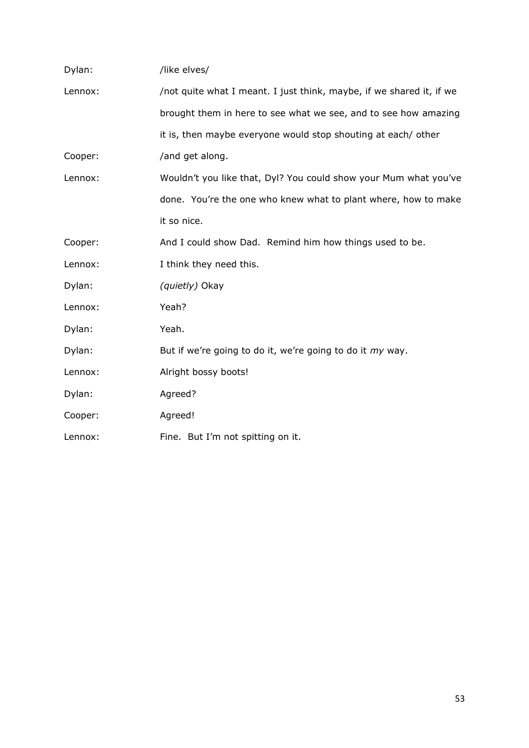| Dylan:  | /like elves/                                                         |
|---------|----------------------------------------------------------------------|
| Lennox: | /not quite what I meant. I just think, maybe, if we shared it, if we |
|         | brought them in here to see what we see, and to see how amazing      |
|         | it is, then maybe everyone would stop shouting at each/ other        |
| Cooper: | /and get along.                                                      |
| Lennox: | Wouldn't you like that, Dyl? You could show your Mum what you've     |
|         | done. You're the one who knew what to plant where, how to make       |
|         | it so nice.                                                          |
| Cooper: | And I could show Dad. Remind him how things used to be.              |
| Lennox: | I think they need this.                                              |
| Dylan:  | (quietly) Okay                                                       |
| Lennox: | Yeah?                                                                |
| Dylan:  | Yeah.                                                                |
| Dylan:  | But if we're going to do it, we're going to do it my way.            |
| Lennox: | Alright bossy boots!                                                 |
| Dylan:  | Agreed?                                                              |
| Cooper: | Agreed!                                                              |
| Lennox: | Fine. But I'm not spitting on it.                                    |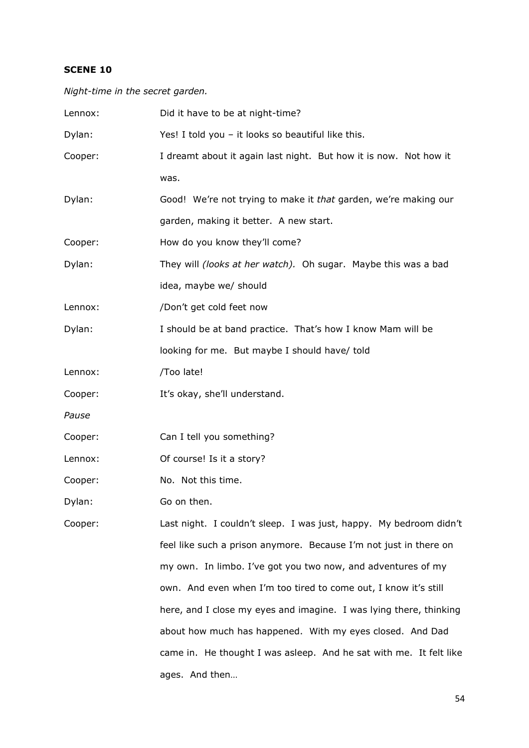*Night-time in the secret garden.* 

| Lennox: | Did it have to be at night-time?                                   |
|---------|--------------------------------------------------------------------|
| Dylan:  | Yes! I told you - it looks so beautiful like this.                 |
| Cooper: | I dreamt about it again last night. But how it is now. Not how it  |
|         | was.                                                               |
| Dylan:  | Good! We're not trying to make it that garden, we're making our    |
|         | garden, making it better. A new start.                             |
| Cooper: | How do you know they'll come?                                      |
| Dylan:  | They will (looks at her watch). Oh sugar. Maybe this was a bad     |
|         | idea, maybe we/ should                                             |
| Lennox: | /Don't get cold feet now                                           |
| Dylan:  | I should be at band practice. That's how I know Mam will be        |
|         | looking for me. But maybe I should have/ told                      |
| Lennox: | /Too late!                                                         |
| Cooper: | It's okay, she'll understand.                                      |
| Pause   |                                                                    |
| Cooper: | Can I tell you something?                                          |
| Lennox: | Of course! Is it a story?                                          |
| Cooper: | No. Not this time.                                                 |
| Dylan:  | Go on then.                                                        |
| Cooper: | Last night. I couldn't sleep. I was just, happy. My bedroom didn't |
|         | feel like such a prison anymore. Because I'm not just in there on  |
|         | my own. In limbo. I've got you two now, and adventures of my       |
|         | own. And even when I'm too tired to come out, I know it's still    |
|         | here, and I close my eyes and imagine. I was lying there, thinking |
|         | about how much has happened. With my eyes closed. And Dad          |
|         | came in. He thought I was asleep. And he sat with me. It felt like |
|         | ages. And then                                                     |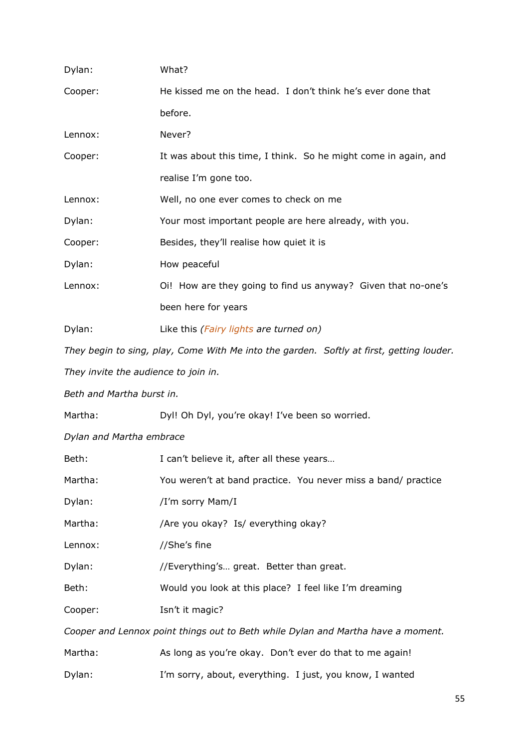| Dylan:                               | What?                                                                                    |
|--------------------------------------|------------------------------------------------------------------------------------------|
| Cooper:                              | He kissed me on the head. I don't think he's ever done that                              |
|                                      | before.                                                                                  |
| Lennox:                              | Never?                                                                                   |
| Cooper:                              | It was about this time, I think. So he might come in again, and                          |
|                                      | realise I'm gone too.                                                                    |
| Lennox:                              | Well, no one ever comes to check on me                                                   |
| Dylan:                               | Your most important people are here already, with you.                                   |
| Cooper:                              | Besides, they'll realise how quiet it is                                                 |
| Dylan:                               | How peaceful                                                                             |
| Lennox:                              | Oi! How are they going to find us anyway? Given that no-one's                            |
|                                      | been here for years                                                                      |
| Dylan:                               | Like this (Fairy lights are turned on)                                                   |
|                                      | They begin to sing, play, Come With Me into the garden. Softly at first, getting louder. |
| They invite the audience to join in. |                                                                                          |
| Beth and Martha burst in.            |                                                                                          |
| Martha:                              | Dyl! Oh Dyl, you're okay! I've been so worried.                                          |
| Dylan and Martha embrace             |                                                                                          |
| Beth:                                | I can't believe it, after all these years                                                |
| Martha:                              | You weren't at band practice. You never miss a band/ practice                            |
| Dylan:                               | /I'm sorry Mam/I                                                                         |
| Martha:                              | /Are you okay? Is/ everything okay?                                                      |
| Lennox:                              | //She's fine                                                                             |
| Dylan:                               | //Everything's great. Better than great.                                                 |
| Beth:                                | Would you look at this place? I feel like I'm dreaming                                   |
| Cooper:                              | Isn't it magic?                                                                          |
|                                      | Cooper and Lennox point things out to Beth while Dylan and Martha have a moment.         |
| Martha:                              | As long as you're okay. Don't ever do that to me again!                                  |
| Dylan:                               | I'm sorry, about, everything. I just, you know, I wanted                                 |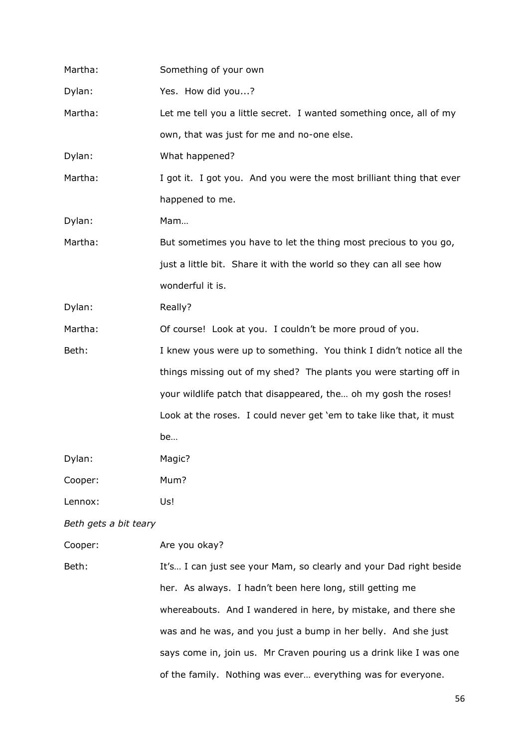| Martha:               | Something of your own                                                |
|-----------------------|----------------------------------------------------------------------|
| Dylan:                | Yes. How did you?                                                    |
| Martha:               | Let me tell you a little secret. I wanted something once, all of my  |
|                       | own, that was just for me and no-one else.                           |
| Dylan:                | What happened?                                                       |
| Martha:               | I got it. I got you. And you were the most brilliant thing that ever |
|                       | happened to me.                                                      |
| Dylan:                | Mam                                                                  |
| Martha:               | But sometimes you have to let the thing most precious to you go,     |
|                       | just a little bit. Share it with the world so they can all see how   |
|                       | wonderful it is.                                                     |
| Dylan:                | Really?                                                              |
| Martha:               | Of course! Look at you. I couldn't be more proud of you.             |
| Beth:                 | I knew yous were up to something. You think I didn't notice all the  |
|                       | things missing out of my shed? The plants you were starting off in   |
|                       | your wildlife patch that disappeared, the oh my gosh the roses!      |
|                       | Look at the roses. I could never get 'em to take like that, it must  |
|                       | be                                                                   |
| Dylan:                | Magic?                                                               |
| Cooper:               | Mum?                                                                 |
| Lennox:               | Us!                                                                  |
| Beth gets a bit teary |                                                                      |
| Cooper:               | Are you okay?                                                        |
| Beth:                 | It's I can just see your Mam, so clearly and your Dad right beside   |
|                       |                                                                      |

her. As always. I hadn't been here long, still getting me whereabouts. And I wandered in here, by mistake, and there she was and he was, and you just a bump in her belly. And she just says come in, join us. Mr Craven pouring us a drink like I was one of the family. Nothing was ever… everything was for everyone.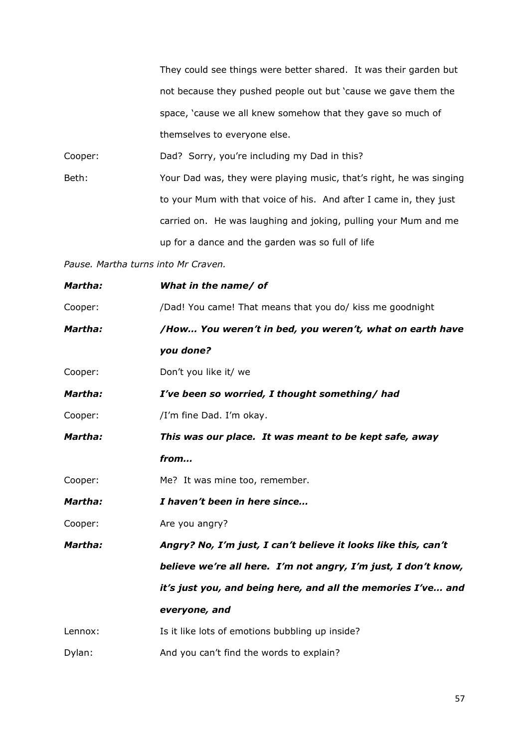They could see things were better shared. It was their garden but not because they pushed people out but 'cause we gave them the space, 'cause we all knew somehow that they gave so much of themselves to everyone else.

Cooper: Dad? Sorry, you're including my Dad in this?

Beth: Your Dad was, they were playing music, that's right, he was singing to your Mum with that voice of his. And after I came in, they just carried on. He was laughing and joking, pulling your Mum and me up for a dance and the garden was so full of life

*Pause. Martha turns into Mr Craven.*

| Martha: | What in the name/ of                                           |
|---------|----------------------------------------------------------------|
| Cooper: | /Dad! You came! That means that you do/ kiss me goodnight      |
| Martha: | /How You weren't in bed, you weren't, what on earth have       |
|         | you done?                                                      |
| Cooper: | Don't you like it/ we                                          |
| Martha: | I've been so worried, I thought something/ had                 |
| Cooper: | /I'm fine Dad. I'm okay.                                       |
| Martha: | This was our place. It was meant to be kept safe, away         |
|         | from                                                           |
| Cooper: | Me? It was mine too, remember.                                 |
| Martha: | I haven't been in here since                                   |
| Cooper: | Are you angry?                                                 |
| Martha: | Angry? No, I'm just, I can't believe it looks like this, can't |
|         | believe we're all here. I'm not angry, I'm just, I don't know, |
|         | it's just you, and being here, and all the memories I've and   |
|         | everyone, and                                                  |
| Lennox: | Is it like lots of emotions bubbling up inside?                |
| Dylan:  | And you can't find the words to explain?                       |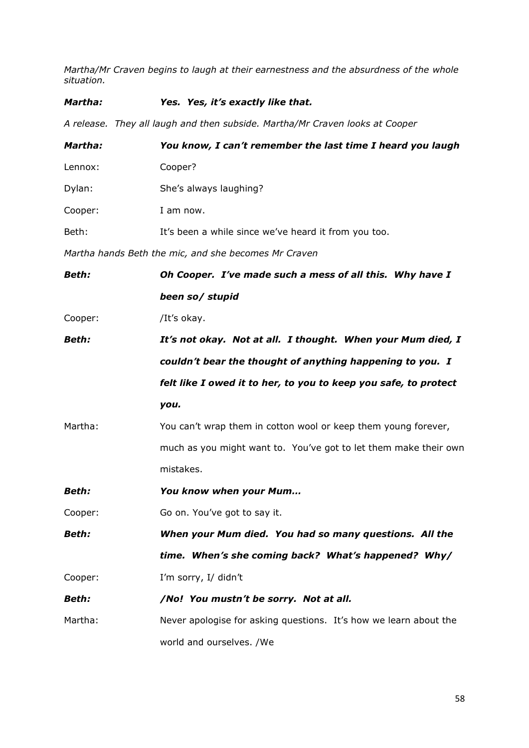*Martha/Mr Craven begins to laugh at their earnestness and the absurdness of the whole situation.*

| Martha:      | Yes. Yes, it's exactly like that.                                            |
|--------------|------------------------------------------------------------------------------|
|              | A release. They all laugh and then subside. Martha/Mr Craven looks at Cooper |
| Martha:      | You know, I can't remember the last time I heard you laugh                   |
| Lennox:      | Cooper?                                                                      |
| Dylan:       | She's always laughing?                                                       |
| Cooper:      | I am now.                                                                    |
| Beth:        | It's been a while since we've heard it from you too.                         |
|              | Martha hands Beth the mic, and she becomes Mr Craven                         |
| <b>Beth:</b> | Oh Cooper. I've made such a mess of all this. Why have I                     |
|              | been so/ stupid                                                              |
| Cooper:      | /It's okay.                                                                  |
| <b>Beth:</b> | It's not okay. Not at all. I thought. When your Mum died, I                  |
|              | couldn't bear the thought of anything happening to you. I                    |
|              | felt like I owed it to her, to you to keep you safe, to protect              |
|              | you.                                                                         |
| Martha:      | You can't wrap them in cotton wool or keep them young forever,               |
|              | much as you might want to. You've got to let them make their own             |
|              | mistakes.                                                                    |
| Beth:        | You know when your Mum                                                       |
| Cooper:      | Go on. You've got to say it.                                                 |
| Beth:        | When your Mum died. You had so many questions. All the                       |
|              | time. When's she coming back? What's happened? Why/                          |
| Cooper:      | I'm sorry, I/ didn't                                                         |
| Beth:        | /No! You mustn't be sorry. Not at all.                                       |
| Martha:      | Never apologise for asking questions. It's how we learn about the            |
|              | world and ourselves. /We                                                     |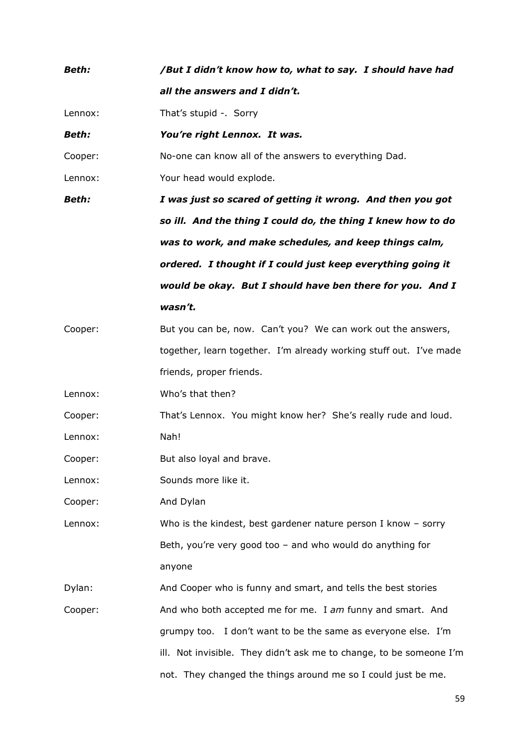| <b>Beth:</b> | /But I didn't know how to, what to say. I should have had           |
|--------------|---------------------------------------------------------------------|
|              | all the answers and I didn't.                                       |
| Lennox:      | That's stupid -. Sorry                                              |
| <b>Beth:</b> | You're right Lennox. It was.                                        |
| Cooper:      | No-one can know all of the answers to everything Dad.               |
| Lennox:      | Your head would explode.                                            |
| <b>Beth:</b> | I was just so scared of getting it wrong. And then you got          |
|              | so ill. And the thing I could do, the thing I knew how to do        |
|              | was to work, and make schedules, and keep things calm,              |
|              | ordered. I thought if I could just keep everything going it         |
|              | would be okay. But I should have ben there for you. And I           |
|              | wasn't.                                                             |
| Cooper:      | But you can be, now. Can't you? We can work out the answers,        |
|              | together, learn together. I'm already working stuff out. I've made  |
|              | friends, proper friends.                                            |
| Lennox:      | Who's that then?                                                    |
| Cooper:      | That's Lennox. You might know her? She's really rude and loud.      |
| Lennox:      | Nah!                                                                |
| Cooper:      | But also loyal and brave.                                           |
| Lennox:      | Sounds more like it.                                                |
| Cooper:      | And Dylan                                                           |
| Lennox:      | Who is the kindest, best gardener nature person I know $-$ sorry    |
|              | Beth, you're very good too $-$ and who would do anything for        |
|              | anyone                                                              |
| Dylan:       | And Cooper who is funny and smart, and tells the best stories       |
| Cooper:      | And who both accepted me for me. I am funny and smart. And          |
|              | grumpy too. I don't want to be the same as everyone else. I'm       |
|              | ill. Not invisible. They didn't ask me to change, to be someone I'm |
|              | not. They changed the things around me so I could just be me.       |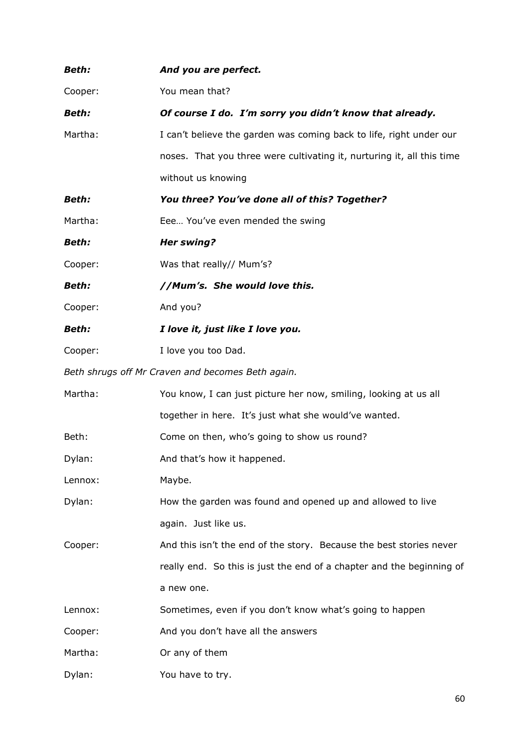| Beth:        | And you are perfect.                                                   |
|--------------|------------------------------------------------------------------------|
| Cooper:      | You mean that?                                                         |
| <b>Beth:</b> | Of course I do. I'm sorry you didn't know that already.                |
| Martha:      | I can't believe the garden was coming back to life, right under our    |
|              | noses. That you three were cultivating it, nurturing it, all this time |
|              | without us knowing                                                     |
| <b>Beth:</b> | You three? You've done all of this? Together?                          |
| Martha:      | Eee You've even mended the swing                                       |
| <b>Beth:</b> | <b>Her swing?</b>                                                      |
| Cooper:      | Was that really// Mum's?                                               |
| <b>Beth:</b> | //Mum's. She would love this.                                          |
| Cooper:      | And you?                                                               |
| <b>Beth:</b> | I love it, just like I love you.                                       |
| Cooper:      | I love you too Dad.                                                    |
|              | Beth shrugs off Mr Craven and becomes Beth again.                      |
| Martha:      | You know, I can just picture her now, smiling, looking at us all       |
|              | together in here. It's just what she would've wanted.                  |
| Beth:        | Come on then, who's going to show us round?                            |
| Dylan:       | And that's how it happened.                                            |
| Lennox:      | Maybe.                                                                 |
| Dylan:       | How the garden was found and opened up and allowed to live             |
|              | again. Just like us.                                                   |
| Cooper:      | And this isn't the end of the story. Because the best stories never    |
|              | really end. So this is just the end of a chapter and the beginning of  |
|              | a new one.                                                             |
| Lennox:      | Sometimes, even if you don't know what's going to happen               |
| Cooper:      | And you don't have all the answers                                     |
| Martha:      | Or any of them                                                         |
| Dylan:       | You have to try.                                                       |